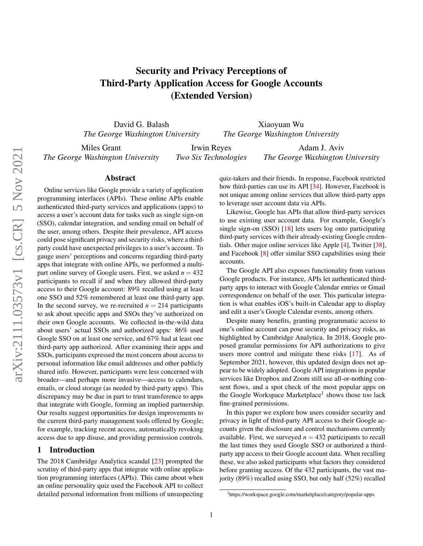## Security and Privacy Perceptions of Third-Party Application Access for Google Accounts (Extended Version)

David G. Balash *The George Washington University*

Xiaoyuan Wu *The George Washington University*

Miles Grant *The George Washington University*

Irwin Reyes *Two Six Technologies*

Adam J. Aviv *The George Washington University*

### Abstract

Online services like Google provide a variety of application programming interfaces (APIs). These online APIs enable authenticated third-party services and applications (apps) to access a user's account data for tasks such as single sign-on (SSO), calendar integration, and sending email on behalf of the user, among others. Despite their prevalence, API access could pose significant privacy and security risks, where a thirdparty could have unexpected privileges to a user's account. To gauge users' perceptions and concerns regarding third-party apps that integrate with online APIs, we performed a multipart online survey of Google users. First, we asked  $n = 432$ participants to recall if and when they allowed third-party access to their Google account: 89% recalled using at least one SSO and 52% remembered at least one third-party app. In the second survey, we re-recruited  $n = 214$  participants to ask about specific apps and SSOs they've authorized on their own Google accounts. We collected in-the-wild data about users' actual SSOs and authorized apps: 86% used Google SSO on at least one service, and 67% had at least one third-party app authorized. After examining their apps and SSOs, participants expressed the most concern about access to personal information like email addresses and other publicly shared info. However, participants were less concerned with broader—and perhaps more invasive—access to calendars, emails, or cloud storage (as needed by third-party apps). This discrepancy may be due in part to trust transference to apps that integrate with Google, forming an implied partnership. Our results suggest opportunities for design improvements to the current third-party management tools offered by Google; for example, tracking recent access, automatically revoking access due to app disuse, and providing permission controls.

### 1 Introduction

The 2018 Cambridge Analytica scandal [\[23\]](#page-14-0) prompted the scrutiny of third-party apps that integrate with online application programming interfaces (APIs). This came about when an online personality quiz used the Facebook API to collect detailed personal information from millions of unsuspecting

quiz-takers and their friends. In response, Facebook restricted how third-parties can use its API [\[34\]](#page-14-1). However, Facebook is not unique among online services that allow third-party apps to leverage user account data via APIs.

Likewise, Google has APIs that allow third-party services to use existing user account data. For example, Google's single sign-on (SSO) [\[18\]](#page-13-0) lets users log onto participating third-party services with their already-existing Google credentials. Other major online services like Apple [\[4\]](#page-13-1), Twitter [\[38\]](#page-14-2), and Facebook [\[8\]](#page-13-2) offer similar SSO capabilities using their accounts.

The Google API also exposes functionality from various Google products. For instance, APIs let authenticated thirdparty apps to interact with Google Calendar entries or Gmail correspondence on behalf of the user. This particular integration is what enables iOS's built-in Calendar app to display and edit a user's Google Calendar events, among others.

Despite many benefits, granting programmatic access to one's online account can pose security and privacy risks, as highlighted by Cambridge Analytica. In 2018, Google proposed granular permissions for API authorizations to give users more control and mitigate these risks [\[17\]](#page-13-3). As of September 2021, however, this updated design does not appear to be widely adopted. Google API integrations in popular services like Dropbox and Zoom still use all-or-nothing consent flows, and a spot check of the most popular apps on the Google Workspace Marketplace<sup>[1](#page-0-0)</sup> shows those too lack fine-grained permissions.

In this paper we explore how users consider security and privacy in light of third-party API access to their Google accounts given the disclosure and control mechanisms currently available. First, we surveyed  $n = 432$  participants to recall the last times they used Google SSO or authorized a thirdparty app access to their Google account data. When recalling these, we also asked participants what factors they considered before granting access. Of the 432 participants, the vast majority (89%) recalled using SSO, but only half (52%) recalled

<span id="page-0-0"></span><sup>1</sup>https://workspace.google.com/marketplace/category/popular-apps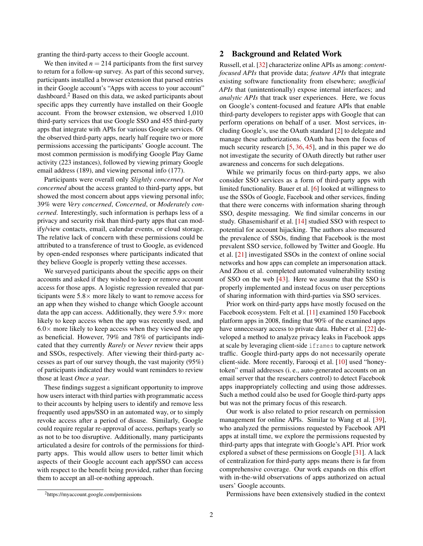granting the third-party access to their Google account.

We then invited  $n = 214$  participants from the first survey to return for a follow-up survey. As part of this second survey, participants installed a browser extension that parsed entries in their Google account's "Apps with access to your account" dashboard.[2](#page-1-0) Based on this data, we asked participants about specific apps they currently have installed on their Google account. From the browser extension, we observed 1,010 third-party services that use Google SSO and 455 third-party apps that integrate with APIs for various Google services. Of the observed third-party apps, nearly half require two or more permissions accessing the participants' Google account. The most common permission is modifying Google Play Game activity (223 instances), followed by viewing primary Google email address (189), and viewing personal info (177).

Participants were overall only *Slightly concerned* or *Not concerned* about the access granted to third-party apps, but showed the most concern about apps viewing personal info; 39% were *Very concerned*, *Concerned*, or *Moderately concerned*. Interestingly, such information is perhaps less of a privacy and security risk than third-party apps that can modify/view contacts, email, calendar events, or cloud storage. The relative lack of concern with these permissions could be attributed to a transference of trust to Google, as evidenced by open-ended responses where participants indicated that they believe Google is properly vetting these accesses.

We surveyed participants about the specific apps on their accounts and asked if they wished to keep or remove account access for those apps. A logistic regression revealed that participants were  $5.8 \times$  more likely to want to remove access for an app when they wished to change which Google account data the app can access. Additionally, they were  $5.9\times$  more likely to keep access when the app was recently used, and  $6.0\times$  more likely to keep access when they viewed the app as beneficial. However, 79% and 78% of participants indicated that they currently *Rarely* or *Never* review their apps and SSOs, respectively. After viewing their third-party accesses as part of our survey though, the vast majority (95%) of participants indicated they would want reminders to review those at least *Once a year*.

These findings suggest a significant opportunity to improve how users interact with third parties with programmatic access to their accounts by helping users to identify and remove less frequently used apps/SSO in an automated way, or to simply revoke access after a period of disuse. Similarly, Google could require regular re-approval of access, perhaps yearly so as not to be too disruptive. Additionally, many participants articulated a desire for controls of the permissions for thirdparty apps. This would allow users to better limit which aspects of their Google account each app/SSO can access with respect to the benefit being provided, rather than forcing them to accept an all-or-nothing approach.

### 2 Background and Related Work

Russell, et al. [\[32\]](#page-14-3) characterize online APIs as among: *contentfocused APIs* that provide data; *feature APIs* that integrate existing software functionality from elsewhere; *unofficial APIs* that (unintentionally) expose internal interfaces; and *analytic APIs* that track user experiences. Here, we focus on Google's content-focused and feature APIs that enable third-party developers to register apps with Google that can perform operations on behalf of a user. Most services, including Google's, use the OAuth standard [\[2\]](#page-13-4) to delegate and manage these authorizations. OAuth has been the focus of much security research [\[5,](#page-13-5) [36,](#page-14-4) [45\]](#page-15-0), and in this paper we do not investigate the security of OAuth directly but rather user awareness and concerns for such delegations.

While we primarily focus on third-party apps, we also consider SSO services as a form of third-party apps with limited functionality. Bauer et al. [\[6\]](#page-13-6) looked at willingness to use the SSOs of Google, Facebook and other services, finding that there were concerns with information sharing through SSO, despite messaging. We find similar concerns in our study. Ghasemisharif et al. [\[14\]](#page-13-7) studied SSO with respect to potential for account hijacking. The authors also measured the prevalence of SSOs, finding that Facebook is the most prevalent SSO service, followed by Twitter and Google. Hu et al. [\[21\]](#page-13-8) investigated SSOs in the context of online social networks and how apps can complete an impersonation attack. And Zhou et al. completed automated vulnerability testing of SSO on the web [\[43\]](#page-14-5). Here we assume that the SSO is properly implemented and instead focus on user perceptions of sharing information with third-parties via SSO services.

Prior work on third-party apps have mostly focused on the Facebook ecosystem. Felt et al. [\[11\]](#page-13-9) examined 150 Facebook platform apps in 2008, finding that 90% of the examined apps have unnecessary access to private data. Huber et al. [\[22\]](#page-14-6) developed a method to analyze privacy leaks in Facebook apps at scale by leveraging client-side iframes to capture network traffic. Google third-party apps do not necessarily operate client-side. More recently, Farooqi et al. [\[10\]](#page-13-10) used "honeytoken" email addresses (i. e., auto-generated accounts on an email server that the researchers control) to detect Facebook apps inappropriately collecting and using those addresses. Such a method could also be used for Google third-party apps but was not the primary focus of this research.

Our work is also related to prior research on permission management for online APIs. Similar to Wang et al. [\[39\]](#page-14-7), who analyzed the permissions requested by Facebook API apps at install time, we explore the permissions requested by third-party apps that integrate with Google's API. Prior work explored a subset of these permissions on Google [\[31\]](#page-14-8). A lack of centralization for third-party apps means there is far from comprehensive coverage. Our work expands on this effort with in-the-wild observations of apps authorized on actual users' Google accounts.

Permissions have been extensively studied in the context

<span id="page-1-0"></span><sup>2</sup>https://myaccount.google.com/permissions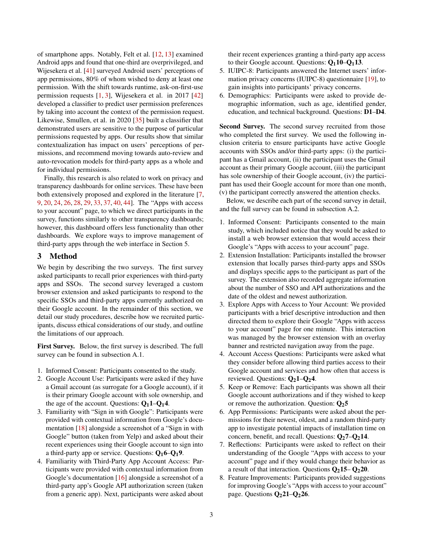of smartphone apps. Notably, Felt et al. [\[12,](#page-13-11) [13\]](#page-13-12) examined Android apps and found that one-third are overprivileged, and Wijesekera et al. [\[41\]](#page-14-9) surveyed Android users' perceptions of app permissions, 80% of whom wished to deny at least one permission. With the shift towards runtime, ask-on-first-use permission requests [\[1,](#page-13-13) [3\]](#page-13-14), Wijesekera et al. in 2017 [\[42\]](#page-14-10) developed a classifier to predict user permission preferences by taking into account the context of the permission request. Likewise, Smullen, et al. in 2020 [\[35\]](#page-14-11) built a classifier that demonstrated users are sensitive to the purpose of particular permissions requested by apps. Our results show that similar contextualization has impact on users' perceptions of permissions, and recommend moving towards auto-review and auto-revocation models for third-party apps as a whole and for individual permissions.

Finally, this research is also related to work on privacy and transparency dashboards for online services. These have been both extensively proposed and explored in the literature [\[7,](#page-13-15) [9,](#page-13-16) [20,](#page-13-17) [24,](#page-14-12) [26,](#page-14-13) [28,](#page-14-14) [29,](#page-14-15) [33,](#page-14-16) [37,](#page-14-17) [40,](#page-14-18) [44\]](#page-15-1). The "Apps with access to your account" page, to which we direct participants in the survey, functions similarly to other transparency dashboards; however, this dashboard offers less functionality than other dashboards. We explore ways to improve management of third-party apps through the web interface in Section [5.](#page-11-0)

### 3 Method

We begin by describing the two surveys. The first survey asked participants to recall prior experiences with third-party apps and SSOs. The second survey leveraged a custom browser extension and asked participants to respond to the specific SSOs and third-party apps currently authorized on their Google account. In the remainder of this section, we detail our study procedures, describe how we recruited participants, discuss ethical considerations of our study, and outline the limitations of our approach.

First Survey. Below, the first survey is described. The full survey can be found in [subsection A.1.](#page-15-2)

- 1. Informed Consent: Participants consented to the study.
- 2. Google Account Use: Participants were asked if they have a Gmail account (as surrogate for a Google account), if it is their primary Google account with sole ownership, and the age of the account. [Q](#page-15-4)uestions:  $Q_11-Q_14$ .
- 3. Familiarity with "Sign in with Google": Participants were provided with contextual information from Google's documentation [\[18\]](#page-13-0) alongside a screenshot of a "Sign in with Google" button (taken from Yelp) and asked about their recent experiences using their Google account to sign into a third-party app or service. [Q](#page-15-6)uestions:  $Q_16-Q_19$ .
- 4. Familiarity with Third-Party App Account Access: Participants were provided with contextual information from Google's documentation [\[16\]](#page-13-18) alongside a screenshot of a third-party app's Google API authorization screen (taken from a generic app). Next, participants were asked about

their recent experiences granting a third-party app access to their Google account. Questions:  $Q_1$ [10](#page-15-7)– $Q_1$ [13](#page-15-8).

- 5. IUIPC-8: Participants answered the Internet users' information privacy concerns (IUIPC-8) questionnaire [\[19\]](#page-13-19), to gain insights into participants' privacy concerns.
- 6. Demographics: Participants were asked to provide demographic information, such as age, identified gender, education, and technical background. Questions: [D1](#page-16-0)–[D4](#page-16-1).

Second Survey. The second survey recruited from those who completed the first survey. We used the following inclusion criteria to ensure participants have active Google accounts with SSOs and/or third-party apps: (i) the participant has a Gmail account, (ii) the participant uses the Gmail account as their primary Google account, (iii) the participant has sole ownership of their Google account, (iv) the participant has used their Google account for more than one month, (v) the participant correctly answered the attention checks.

Below, we describe each part of the second survey in detail, and the full survey can be found in [subsection A.2.](#page-16-2)

- 1. Informed Consent: Participants consented to the main study, which included notice that they would be asked to install a web browser extension that would access their Google's "Apps with access to your account" page.
- 2. Extension Installation: Participants installed the browser extension that locally parses third-party apps and SSOs and displays specific apps to the participant as part of the survey. The extension also recorded aggregate information about the number of SSO and API authorizations and the date of the oldest and newest authorization.
- 3. Explore Apps with Access to Your Account: We provided participants with a brief descriptive introduction and then directed them to explore their Google "Apps with access to your account" page for one minute. This interaction was managed by the browser extension with an overlay banner and restricted navigation away from the page.
- 4. Account Access Questions: Participants were asked what they consider before allowing third parties access to their Google account and services and how often that access is reviewed. [Q](#page-16-4)uestions:  $Q_21-Q_24$ .
- 5. Keep or Remove: Each participants was shown all their Google account authorizations and if they wished to keep or remove the authorization. [Q](#page-16-5)uestion:  $Q_2$ 5
- 6. App Permissions: Participants were asked about the permissions for their newest, oldest, and a random third-party app to investigate potential impacts of installation time on concern, benefit, and recall. [Q](#page-17-0)uestions:  $Q_27-Q_214$  $Q_27-Q_214$ .
- 7. Reflections: Participants were asked to reflect on their understanding of the Google "Apps with access to your account" page and if they would change their behavior as a result of that interaction. Questions  $Q_2$ [15](#page-17-2)–  $Q_2$ [20](#page-17-3).
- 8. Feature Improvements: Participants provided suggestions for improving Google's "Apps with access to your account" page. Questions  $Q_2$ [21](#page-17-4)– $Q_2$ [26](#page-17-5).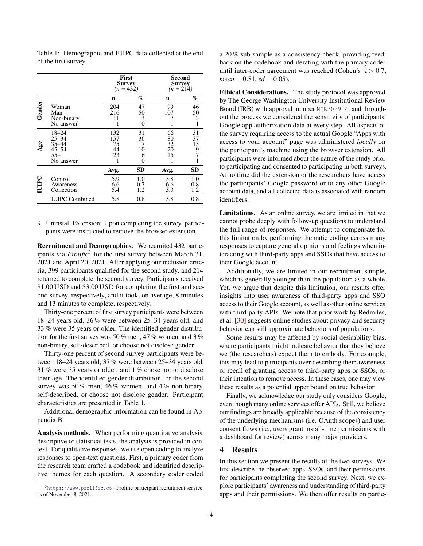|         |                                                                    | First<br><b>Survey</b><br>$(n = 432)$ |                                | Second<br><b>Survey</b><br>$(n = 214)$ |                                                 |
|---------|--------------------------------------------------------------------|---------------------------------------|--------------------------------|----------------------------------------|-------------------------------------------------|
|         |                                                                    | n                                     | $\%$                           | n                                      | %                                               |
| Gender  | Woman<br>Man<br>Non-binary<br>No answer                            | 204<br>216<br>11                      | 47<br>50<br>3<br>0             | 99<br>107                              | 46<br>50<br>$\overline{3}$<br>1                 |
| 86<br>¢ | $18 - 24$<br>$25 - 34$<br>35-44<br>$45 - 54$<br>$55+$<br>No answer | 132<br>157<br>75<br>44<br>23<br>1     | 31<br>36<br>17<br>10<br>6<br>0 | 66<br>80<br>32<br>20<br>15<br>1        | 31<br>37<br>15<br>$\frac{9}{7}$<br>$\mathbf{1}$ |
|         |                                                                    | Avg.                                  | <b>SD</b>                      | Avg.                                   | <b>SD</b>                                       |
| IUIPC   | Control<br>Awareness<br>Collection                                 | 5.9<br>6.6<br>5.4                     | 1.0<br>0.7<br>1.2              | 5.8<br>6.6<br>5.3                      | 1.0<br>0.8<br>1.2                               |
|         | <b>IUIPC</b> Combined                                              | 5.8                                   | 0.8                            | 5.8                                    | 0.8                                             |

<span id="page-3-1"></span>Table 1: Demographic and IUIPC data collected at the end of the first survey.

9. Uninstall Extension: Upon completing the survey, participants were instructed to remove the browser extension.

Recruitment and Demographics. We recruited 432 participants via *Prolific*<sup>[3](#page-3-0)</sup> for the first survey between March 31, 2021 and April 20, 2021. After applying our inclusion criteria, 399 participants qualified for the second study, and 214 returned to complete the second survey. Participants received \$1.00 USD and \$3.00 USD for completing the first and second survey, respectively, and it took, on average, 8 minutes and 13 minutes to complete, respectively.

Thirty-one percent of first survey participants were between 18–24 years old, 36 % were between 25–34 years old, and 33 % were 35 years or older. The identified gender distribution for the first survey was 50 % men, 47 % women, and 3 % non-binary, self-described, or choose not disclose gender.

Thirty-one percent of second survey participants were between 18–24 years old, 37 % were between 25–34 years old, 31 % were 35 years or older, and 1 % chose not to disclose their age. The identified gender distribution for the second survey was 50 % men, 46 % women, and 4 % non-binary, self-described, or choose not disclose gender. Participant characteristics are presented in Table [1.](#page-3-1)

Additional demographic information can be found in Appendix [B.](#page-18-0)

Analysis methods. When performing quantitative analysis, descriptive or statistical tests, the analysis is provided in context. For qualitative responses, we use open coding to analyze responses to open-text questions. First, a primary coder from the research team crafted a codebook and identified descriptive themes for each question. A secondary coder coded

a 20 % sub-sample as a consistency check, providing feedback on the codebook and iterating with the primary coder until inter-coder agreement was reached (Cohen's  $\kappa > 0.7$ ,  $mean = 0.81, sd = 0.05$ .

Ethical Considerations. The study protocol was approved by The George Washington University Institutional Review Board (IRB) with approval number NCR202914, and throughout the process we considered the sensitivity of participants' Google app authorization data at every step. All aspects of the survey requiring access to the actual Google "Apps with access to your account" page was administered *locally* on the participant's machine using the browser extension. All participants were informed about the nature of the study prior to participating and consented to participating in both surveys. At no time did the extension or the researchers have access the participants' Google password or to any other Google account data, and all collected data is associated with random identifiers.

Limitations. As an online survey, we are limited in that we cannot probe deeply with follow-up questions to understand the full range of responses. We attempt to compensate for this limitation by performing thematic coding across many responses to capture general opinions and feelings when interacting with third-party apps and SSOs that have access to their Google account.

Additionally, we are limited in our recruitment sample, which is generally younger than the population as a whole. Yet, we argue that despite this limitation, our results offer insights into user awareness of third-party apps and SSO access to their Google account, as well as other online services with third-party APIs. We note that prior work by Redmiles, et al. [\[30\]](#page-14-19) suggests online studies about privacy and security behavior can still approximate behaviors of populations.

Some results may be affected by social desirability bias, where participants might indicate behavior that they believe we (the researchers) expect them to embody. For example, this may lead to participants over describing their awareness or recall of granting access to third-party apps or SSOs, or their intention to remove access. In these cases, one may view these results as a potential upper bound on true behavior.

Finally, we acknowledge our study only considers Google, even though many online services offer APIs. Still, we believe our findings are broadly applicable because of the consistency of the underlying mechanisms (i.e. OAuth scopes) and user consent flows (i.e., users grant install-time permissions with a dashboard for review) across many major providers.

### 4 Results

In this section we present the results of the two surveys. We first describe the observed apps, SSOs, and their permissions for participants completing the second survey. Next, we explore participants' awareness and understanding of third-party apps and their permissions. We then offer results on partic-

<span id="page-3-0"></span> $3$ <https://www.prolific.co> - Prolific participant recruitment service, as of November 8, 2021.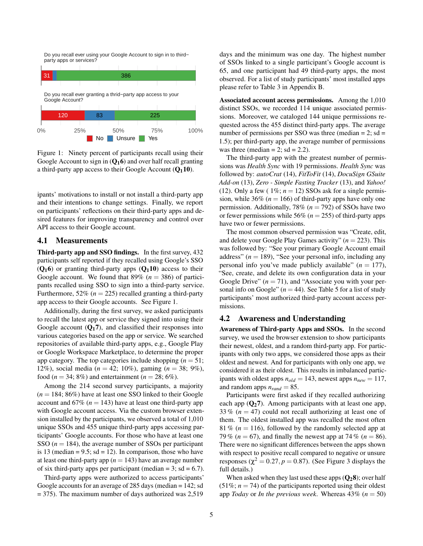<span id="page-4-0"></span>Do you recall ever using your Google Account to sign in to third− party apps or services?



Figure 1: Ninety percent of participants recall using their Google Account to sign in  $(Q_1 6)$  $(Q_1 6)$  $(Q_1 6)$  and over half recall granting a third-party app access to their Google Account  $(Q_1 10)$  $(Q_1 10)$  $(Q_1 10)$ .

ipants' motivations to install or not install a third-party app and their intentions to change settings. Finally, we report on participants' reflections on their third-party apps and desired features for improving transparency and control over API access to their Google account.

### 4.1 Measurements

Third-party app and SSO findings. In the first survey, 432 participants self reported if they recalled using Google's SSO  $(Q_16)$  $(Q_16)$  $(Q_16)$  or granting third-party apps  $(Q_110)$  $(Q_110)$  $(Q_110)$  access to their Google account. We found that  $89\%$  ( $n = 386$ ) of participants recalled using SSO to sign into a third-party service. Furthermore,  $52\%$  ( $n = 225$ ) recalled granting a third-party app access to their Google accounts. See [Figure 1.](#page-4-0)

Additionally, during the first survey, we asked participants to recall the latest app or service they signed into using their Google account  $(Q_17)$  $(Q_17)$  $(Q_17)$ , and classified their responses into various categories based on the app or service. We searched repositories of available third-party apps, e.g., Google Play or Google Workspace Marketplace, to determine the proper app category. The top categories include shopping  $(n = 51)$ ; 12%), social media (*n* = 42; 10%), gaming (*n* = 38; 9%), food ( $n = 34$ ; 8%) and entertainment ( $n = 28$ ; 6%).

Among the 214 second survey participants, a majority  $(n = 184; 86%)$  have at least one SSO linked to their Google account and  $67\%$  ( $n = 143$ ) have at least one third-party app with Google account access. Via the custom browser extension installed by the participants, we observed a total of 1,010 unique SSOs and 455 unique third-party apps accessing participants' Google accounts. For those who have at least one SSO  $(n = 184)$ , the average number of SSOs per participant is 13 (median  $= 9.5$ ; sd  $= 12$ ). In comparison, those who have at least one third-party app  $(n = 143)$  have an average number of six third-party apps per participant (median  $= 3$ ; sd  $= 6.7$ ).

Third-party apps were authorized to access participants' Google accounts for an average of 285 days (median = 142; sd  $= 375$ ). The maximum number of days authorized was 2,519

days and the minimum was one day. The highest number of SSOs linked to a single participant's Google account is 65, and one participant had 49 third-party apps, the most observed. For a list of study participants' most installed apps please refer to [Table 3](#page-18-1) in [Appendix B.](#page-18-0)

Associated account access permissions. Among the 1,010 distinct SSOs, we recorded 114 unique associated permissions. Moreover, we cataloged 144 unique permissions requested across the 455 distinct third-party apps. The average number of permissions per SSO was three (median  $= 2$ ; sd  $=$ 1.5); per third-party app, the average number of permissions was three (median = 2;  $sd = 2.2$ ).

The third-party app with the greatest number of permissions was *Health Sync* with 19 permissions. *Health Sync* was followed by: *autoCrat* (14), *FitToFit* (14), *DocuSign GSuite Add-on* (13), *Zero - Simple Fasting Tracker* (13), and *Yahoo!* (12). Only a few ( $1\%$ ;  $n = 12$ ) SSOs ask for a single permission, while  $36\%$  ( $n = 166$ ) of third-party apps have only one permission. Additionally, 78% (*n* = 792) of SSOs have two or fewer permissions while 56% ( $n = 255$ ) of third-party apps have two or fewer permissions.

The most common observed permission was "Create, edit, and delete your Google Play Games activity"  $(n = 223)$ . This was followed by: "See your primary Google Account email address"  $(n = 189)$ , "See your personal info, including any personal info you've made publicly available"  $(n = 177)$ , "See, create, and delete its own configuration data in your Google Drive"  $(n = 71)$ , and "Associate you with your personal info on Google"  $(n = 44)$ . See [Table 5](#page-20-0) for a list of study participants' most authorized third-party account access permissions.

### 4.2 Awareness and Understanding

Awareness of Third-party Apps and SSOs. In the second survey, we used the browser extension to show participants their newest, oldest, and a random third-party app. For participants with only two apps, we considered those apps as their oldest and newest. And for participants with only one app, we considered it as their oldest. This results in imbalanced participants with oldest apps  $n_{old} = 143$ , newest apps  $n_{new} = 117$ , and random apps  $n_{rand} = 85$ .

Participants were first asked if they recalled authorizing each app  $(Q_27)$  $(Q_27)$  $(Q_27)$ . Among participants with at least one app, 33 %  $(n = 47)$  could not recall authorizing at least one of them. The oldest installed app was recalled the most often 81 % ( $n = 116$ ), followed by the randomly selected app at 79 % ( $n = 67$ ), and finally the newest app at 74 % ( $n = 86$ ). There were no significant differences between the apps shown with respect to positive recall compared to negative or unsure responses ( $\chi^2 = 0.27, p = 0.87$ ). (See [Figure 3](#page-5-0) displays the full details.)

When asked when they last used these apps  $(Q_2 8)$  $(Q_2 8)$  $(Q_2 8)$ ; over half  $(51\%; n = 74)$  of the participants reported using their oldest app *Today* or *In the previous week*. Whereas  $43\%$  ( $n = 50$ )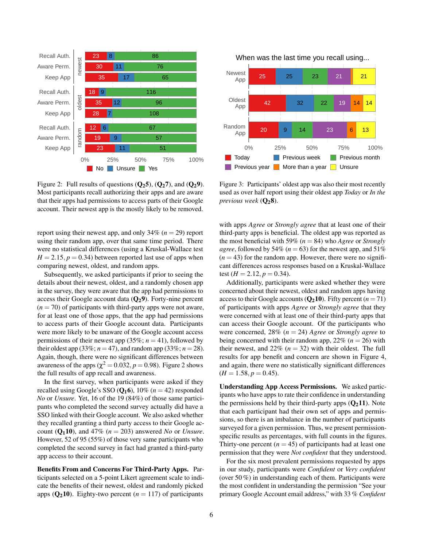<span id="page-5-1"></span>

Figure 2: Full results of questions  $(Q_25)$  $(Q_25)$  $(Q_25)$ ,  $(Q_27)$ , and  $(Q_29)$ . Most participants recall authorizing their apps and are aware that their apps had permissions to access parts of their Google account. Their newest app is the mostly likely to be removed.

report using their newest app, and only  $34\%$  ( $n = 29$ ) report using their random app, over that same time period. There were no statistical differences (using a Kruskal-Wallace test  $H = 2.15$ ,  $p = 0.34$ ) between reported last use of apps when comparing newest, oldest, and random apps.

Subsequently, we asked participants if prior to seeing the details about their newest, oldest, and a randomly chosen app in the survey, they were aware that the app had permissions to access their Google account data  $(Q_2 9)$  $(Q_2 9)$  $(Q_2 9)$ . Forty-nine percent  $(n = 70)$  of participants with third-party apps were not aware, for at least one of those apps, that the app had permissions to access parts of their Google account data. Participants were more likely to be unaware of the Google account access permissions of their newest app  $(35\%; n = 41)$ , followed by their oldest app (33%;  $n = 47$ ), and random app (33%;  $n = 28$ ). Again, though, there were no significant differences between awareness of the apps ( $\chi^2 = 0.032, p = 0.98$ ). [Figure 2](#page-5-1) shows the full results of app recall and awareness.

In the first survey, when participants were asked if they recalled using Google's SSO  $(Q_1 6)$  $(Q_1 6)$  $(Q_1 6)$ , 10% ( $n = 42$ ) responded *No* or *Unsure*. Yet, 16 of the 19 (84%) of those same participants who completed the second survey actually did have a SSO linked with their Google account. We also asked whether they recalled granting a third party access to their Google account  $(Q_1 10)$  $(Q_1 10)$  $(Q_1 10)$ , and 47%  $(n = 203)$  answered *No* or *Unsure*. However, 52 of 95 (55%) of those very same participants who completed the second survey in fact had granted a third-party app access to their account.

Benefits From and Concerns For Third-Party Apps. Participants selected on a 5-point Likert agreement scale to indicate the benefits of their newest, oldest and randomly picked apps  $(Q_210)$  $(Q_210)$  $(Q_210)$ . Eighty-two percent  $(n = 117)$  of participants

When was the last time you recall using...

<span id="page-5-0"></span>

Figure 3: Participants' oldest app was also their most recently used as over half report using their oldest app *Today* or *In the previous week* ( $Q_2$  $Q_2$ 8).

with apps *Agree* or *Strongly agree* that at least one of their third-party apps is beneficial. The oldest app was reported as the most beneficial with 59% (*n* = 84) who *Agree* or *Strongly agree*, followed by 54% ( $n = 63$ ) for the newest app, and 51%  $(n = 43)$  for the random app. However, there were no significant differences across responses based on a Kruskal-Wallace test  $(H = 2.12, p = 0.34)$ .

Additionally, participants were asked whether they were concerned about their newest, oldest and random apps having access to their Google accounts  $(Q_210)$  $(Q_210)$  $(Q_210)$ . Fifty percent  $(n = 71)$ of participants with apps *Agree* or *Strongly agree* that they were concerned with at least one of their third-party apps that can access their Google account. Of the participants who were concerned, 28% (*n* = 24) *Agree* or *Strongly agree* to being concerned with their random app,  $22\%$  ( $n = 26$ ) with their newest, and  $22\%$  ( $n = 32$ ) with their oldest. The full results for app benefit and concern are shown in [Figure 4,](#page-6-0) and again, there were no statistically significant differences  $(H = 1.58, p = 0.45).$ 

Understanding App Access Permissions. We asked participants who have apps to rate their confidence in understanding the permissions held by their third-party apps  $(Q_211)$  $(Q_211)$  $(Q_211)$ . Note that each participant had their own set of apps and permissions, so there is an imbalance in the number of participants surveyed for a given permission. Thus, we present permissionspecific results as percentages, with full counts in the figures. Thirty-one percent  $(n = 45)$  of participants had at least one permission that they were *Not confident* that they understood.

For the six most prevalent permissions requested by apps in our study, participants were *Confident* or *Very confident* (over 50 %) in understanding each of them. Participants were the most confident in understanding the permission "See your primary Google Account email address," with 33 % *Confident*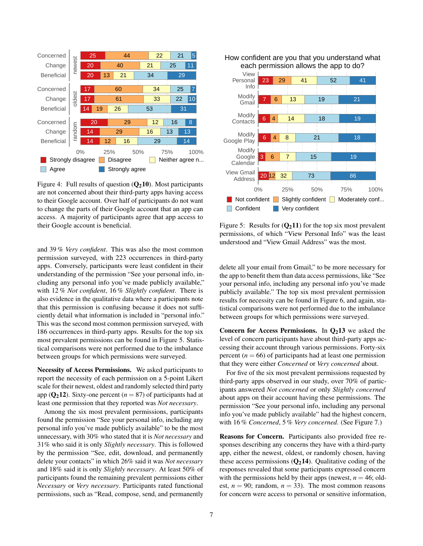<span id="page-6-0"></span>

Figure 4: Full results of question  $(Q_210)$  $(Q_210)$  $(Q_210)$ . Most participants are not concerned about their third-party apps having access to their Google account. Over half of participants do not want to change the parts of their Google account that an app can access. A majority of participants agree that app access to their Google account is beneficial.

and 39 % *Very confident*. This was also the most common permission surveyed, with 223 occurrences in third-party apps. Conversely, participants were least confident in their understanding of the permission "See your personal info, including any personal info you've made publicly available," with 12 % *Not confident*, 16 % *Slightly confident*. There is also evidence in the qualitative data where a participants note that this permission is confusing because it does not sufficiently detail what information is included in "personal info." This was the second most common permission surveyed, with 186 occurrences in third-party apps. Results for the top six most prevalent permissions can be found in [Figure 5.](#page-6-1) Statistical comparisons were not performed due to the imbalance between groups for which permissions were surveyed.

Necessity of Access Permissions. We asked participants to report the necessity of each permission on a 5-point Likert scale for their newest, oldest and randomly selected third party app  $(Q_212)$  $(Q_212)$  $(Q_212)$ . Sixty-one percent  $(n = 87)$  of participants had at least one permission that they reported was *Not necessary*.

Among the six most prevalent permissions, participants found the permission "See your personal info, including any personal info you've made publicly available" to be the most unnecessary, with 30% who stated that it is *Not necessary* and 31% who said it is only *Slightly necessary*. This is followed by the permission "See, edit, download, and permanently delete your contacts" in which 26% said it was *Not necessary* and 18% said it is only *Slightly necessary*. At least 50% of participants found the remaining prevalent permissions either *Necessary* or *Very necessary*. Participants rated functional permissions, such as "Read, compose, send, and permanently

<span id="page-6-1"></span>

Figure 5: Results for  $(Q_211)$  $(Q_211)$  $(Q_211)$  for the top six most prevalent permissions, of which "View Personal Info" was the least understood and "View Gmail Address" was the most.

delete all your email from Gmail," to be more necessary for the app to benefit them than data access permissions, like "See your personal info, including any personal info you've made publicly available." The top six most prevalent permission results for necessity can be found in [Figure 6,](#page-7-0) and again, statistical comparisons were not performed due to the imbalance between groups for which permissions were surveyed.

Concern for Access Permissions. In  $Q_2$ [13](#page-17-11) we asked the level of concern participants have about third-party apps accessing their account through various permissions. Forty-six percent  $(n = 66)$  of participants had at least one permission that they were either *Concerned* or *Very concerned* about.

For five of the six most prevalent permissions requested by third-party apps observed in our study, over 70% of participants answered *Not concerned* or only *Slightly concerned* about apps on their account having these permissions. The permission "See your personal info, including any personal info you've made publicly available" had the highest concern, with 16 % *Concerned*, 5 % *Very concerned*. (See [Figure 7.](#page-7-1))

Reasons for Concern. Participants also provided free responses describing any concerns they have with a third-party app, either the newest, oldest, or randomly chosen, having these access permissions  $(Q_214)$  $(Q_214)$  $(Q_214)$ . Qualitative coding of the responses revealed that some participants expressed concern with the permissions held by their apps (newest,  $n = 46$ ; oldest,  $n = 90$ ; random,  $n = 33$ ). The most common reasons for concern were access to personal or sensitive information,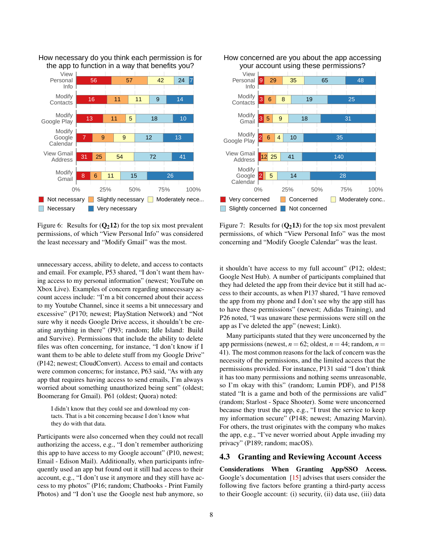

<span id="page-7-0"></span>How necessary do you think each permission is for the app to function in a way that benefits you?

Figure 6: Results for  $(Q_212)$  $(Q_212)$  $(Q_212)$  for the top six most prevalent permissions, of which "View Personal Info" was considered the least necessary and "Modify Gmail" was the most.

unnecessary access, ability to delete, and access to contacts and email. For example, P53 shared, "I don't want them having access to my personal information" (newest; YouTube on Xbox Live). Examples of concern regarding unnecessary account access include: "I'm a bit concerned about their access to my Youtube Channel, since it seems a bit unnecessary and excessive" (P170; newest; PlayStation Network) and "Not sure why it needs Google Drive access, it shouldn't be creating anything in there" (P93; random; Idle Island: Build and Survive). Permissions that include the ability to delete files was often concerning, for instance, "I don't know if I want them to be able to delete stuff from my Google Drive" (P142; newest; CloudConvert). Access to email and contacts were common concerns; for instance, P63 said, "As with any app that requires having access to send emails, I'm always worried about something unauthorized being sent" (oldest; Boomerang for Gmail). P61 (oldest; Quora) noted:

I didn't know that they could see and download my contacts. That is a bit concerning because I don't know what they do with that data.

Participants were also concerned when they could not recall authorizing the access, e.g., "I don't remember authorizing this app to have access to my Google account" (P10, newest; Email - Edison Mail). Additionally, when participants infrequently used an app but found out it still had access to their account, e.g., "I don't use it anymore and they still have access to my photos" (P16; random; Chatbooks - Print Family Photos) and "I don't use the Google nest hub anymore, so

<span id="page-7-1"></span>

Figure 7: Results for  $(Q_213)$  $(Q_213)$  $(Q_213)$  for the top six most prevalent permissions, of which "View Personal Info" was the most concerning and "Modify Google Calendar" was the least.

it shouldn't have access to my full account" (P12; oldest; Google Nest Hub). A number of participants complained that they had deleted the app from their device but it still had access to their accounts, as when P137 shared, "I have removed the app from my phone and I don't see why the app still has to have these permissions" (newest; Adidas Training), and P26 noted, "I was unaware these permissions were still on the app as I've deleted the app" (newest; Linkt).

Many participants stated that they were unconcerned by the app permissions (newest,  $n = 62$ ; oldest,  $n = 44$ ; random,  $n =$ 41). The most common reasons for the lack of concern was the necessity of the permissions, and the limited access that the permissions provided. For instance, P131 said "I don't think it has too many permissions and nothing seems unreasonable, so I'm okay with this" (random; Lumin PDF), and P158 stated "It is a game and both of the permissions are valid" (random; Starlost - Space Shooter). Some were unconcerned because they trust the app, e.g., "I trust the service to keep my information secure" (P148; newest; Amazing Marvin). For others, the trust originates with the company who makes the app, e.g., "I've never worried about Apple invading my privacy" (P189; random; macOS).

### 4.3 Granting and Reviewing Account Access

Considerations When Granting App/SSO Access. Google's documentation [\[15\]](#page-13-20) advises that users consider the following five factors before granting a third-party access to their Google account: (i) security, (ii) data use, (iii) data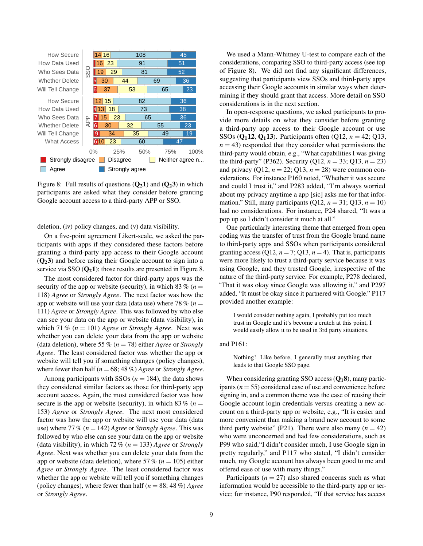<span id="page-8-0"></span>

Figure 8: Full results of questions  $(Q_2 1)$  $(Q_2 1)$  $(Q_2 1)$  and  $(Q_2 3)$  in which participants are asked what they consider before granting Google account access to a third-party APP or SSO.

deletion, (iv) policy changes, and (v) data visibility.

On a five-point agreement Likert-scale, we asked the participants with apps if they considered these factors before granting a third-party app access to their Google account ([Q](#page-16-6)23) and before using their Google account to sign into a service via SSO  $(Q_2 1)$  $(Q_2 1)$  $(Q_2 1)$ ; those results are presented in [Figure 8.](#page-8-0)

The most considered factor for third-party apps was the security of the app or website (security), in which 83  $\%$  ( $n =$ 118) *Agree* or *Strongly Agree*. The next factor was how the app or website will use your data (data use) where 78  $% (n =$ 111) *Agree* or *Strongly Agree*. This was followed by who else can see your data on the app or website (data visibility), in which 71 %  $(n = 101)$  *Agree* or *Strongly Agree*. Next was whether you can delete your data from the app or website (data deletion), where 55 % (*n* = 78) either *Agree* or *Strongly Agree*. The least considered factor was whether the app or website will tell you if something changes (policy changes), where fewer than half  $(n = 68, 48\%)$  *Agree* or *Strongly Agree*.

Among participants with SSOs  $(n = 184)$ , the data shows they considered similar factors as those for third-party app account access. Again, the most considered factor was how secure is the app or website (security), in which 83  $\%$  (*n* = 153) *Agree* or *Strongly Agree*. The next most considered factor was how the app or website will use your data (data use) where 77 % (*n* = 142) *Agree* or *Strongly Agree*. This was followed by who else can see your data on the app or website (data visibility), in which 72 % (*n* = 133) *Agree* or *Strongly Agree*. Next was whether you can delete your data from the app or website (data deletion), where 57 % ( $n = 105$ ) either *Agree* or *Strongly Agree*. The least considered factor was whether the app or website will tell you if something changes (policy changes), where fewer than half (*n* = 88; 48 %) *Agree* or *Strongly Agree*.

We used a Mann-Whitney U-test to compare each of the considerations, comparing SSO to third-party access (see top of [Figure 8\)](#page-8-0). We did not find any significant differences, suggesting that participants view SSOs and third-party apps accessing their Google accounts in similar ways when determining if they should grant that access. More detail on SSO considerations is in the next section.

In open-response questions, we asked participants to provide more details on what they consider before granting a third-party app access to their Google account or use SSOs ( $Q_1$ [12](#page-15-10),  $Q_1$ [13](#page-15-8)). Participants often ( $Q$ 12,  $n = 42$ ;  $Q$ 13,  $n = 43$ ) responded that they consider what permissions the third-party would obtain, e.g., "What capabilities I was giving the third-party" (P362). Security (Q12,  $n = 33$ ; Q13,  $n = 23$ ) and privacy  $(Q12, n = 22; Q13, n = 28)$  were common considerations. For instance P160 noted, "Whether it was secure and could I trust it," and P283 added, "I'm always worried about my privacy anytime a app [sic] asks me for that information." Still, many participants  $(Q12, n = 31; Q13, n = 10)$ had no considerations. For instance, P24 shared, "It was a pop up so I didn't consider it much at all."

One particularly interesting theme that emerged from open coding was the transfer of trust from the Google brand name to third-party apps and SSOs when participants considered granting access (Q12,  $n = 7$ ; Q13,  $n = 4$ ). That is, participants were more likely to trust a third-party service because it was using Google, and they trusted Google, irrespective of the nature of the third-party service. For example, P278 declared, "That it was okay since Google was allowing it," and P297 added, "It must be okay since it partnered with Google." P117 provided another example:

I would consider nothing again, I probably put too much trust in Google and it's become a crutch at this point, I would easily allow it to be used in 3rd party situations.

### and P161:

Nothing! Like before, I generally trust anything that leads to that Google SSO page.

When considering granting SSO access  $(Q_1 8)$  $(Q_1 8)$  $(Q_1 8)$ , many participants (*n* = 55) considered ease of use and convenience before signing in, and a common theme was the ease of reusing their Google account login credentials versus creating a new account on a third-party app or website, e.g., "It is easier and more convenient than making a brand new account to some third party website" (P21). There were also many  $(n = 42)$ who were unconcerned and had few considerations, such as P99 who said,"I didn't consider much, I use Google sign in pretty regularly," and P117 who stated, "I didn't consider much, my Google account has always been good to me and offered ease of use with many things."

Participants  $(n = 27)$  also shared concerns such as what information would be accessible to the third-party app or service; for instance, P90 responded, "If that service has access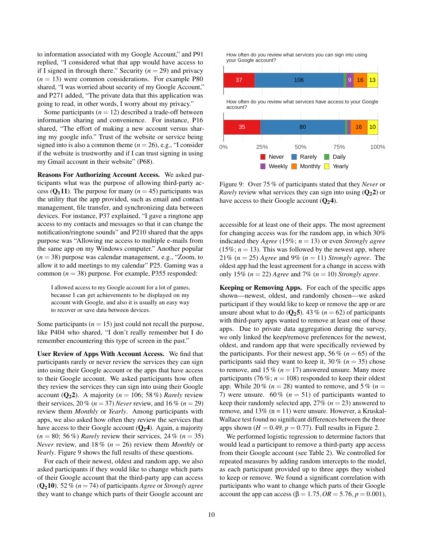to information associated with my Google Account," and P91 replied, "I considered what that app would have access to if I signed in through there." Security  $(n = 29)$  and privacy  $(n = 13)$  were common considerations. For example P80 shared, "I was worried about security of my Google Account," and P271 added, "The private data that this application was going to read, in other words, I worry about my privacy."

Some participants  $(n = 12)$  described a trade-off between information sharing and convenience. For instance, P16 shared, "The effort of making a new account versus sharing my google info." Trust of the website or service being signed into is also a common theme  $(n = 26)$ , e.g., "I consider if the website is trustworthy and if I can trust signing in using my Gmail account in their website" (P68).

Reasons For Authorizing Account Access. We asked participants what was the purpose of allowing third-party access ( $Q_1$ [11](#page-15-12)). The purpose for many ( $n = 45$ ) participants was the utility that the app provided, such as email and contact management, file transfer, and synchronizing data between devices. For instance, P37 explained, "I gave a ringtone app access to my contacts and messages so that it can change the notification/ringtone sounds" and P210 shared that the apps purpose was "Allowing me access to multiple e-mails from the same app on my Windows computer." Another popular (*n* = 38) purpose was calendar management, e.g., "Zoom, to allow it to add meetings to my calendar" P25. Gaming was a common  $(n = 38)$  purpose. For example, P355 responded:

I allowed access to my Google account for a lot of games, because I can get achievements to be displayed on my account with Google, and also it is usually an easy way to recover or save data between devices.

Some participants  $(n = 15)$  just could not recall the purpose, like P404 who shared, "I don't really remember but I do remember encountering this type of screen in the past."

User Review of Apps With Account Access. We find that participants rarely or never review the services they can sign into using their Google account or the apps that have access to their Google account. We asked participants how often they review the services they can sign into using their Google account  $(Q_2 2)$  $(Q_2 2)$  $(Q_2 2)$ . A majority ( $n = 106$ ; 58%) *Rarely* review their services, 20 % ( $n = 37$ ) *Never* review, and 16 % ( $n = 29$ ) review them *Monthly* or *Yearly*. Among participants with apps, we also asked how often they review the services that have access to their Google account  $(Q_2 4)$  $(Q_2 4)$  $(Q_2 4)$ . Again, a majority  $(n = 80; 56\%)$  *Rarely* review their services, 24 %  $(n = 35)$ *Never* review, and 18 % (*n* = 26) review them *Monthly* or *Yearly*. [Figure 9](#page-9-0) shows the full results of these questions.

For each of their newest, oldest and random app, we also asked participants if they would like to change which parts of their Google account that the third-party app can access  $(Q_210)$  $(Q_210)$  $(Q_210)$ . 52 % ( $n = 74$ ) of participants *Agree* or *Strongly agree* they want to change which parts of their Google account are

<span id="page-9-0"></span>How often do you review what services you can sign into using your Google account?



Figure 9: Over 75 % of participants stated that they *Never* or *Rarely* review what services they can sign into using  $(Q_2 2)$  $(Q_2 2)$  $(Q_2 2)$  or have access to their Google account  $(Q_2 4)$  $(Q_2 4)$  $(Q_2 4)$ .

accessible for at least one of their apps. The most agreement for changing access was for the random app, in which 30% indicated they *Agree* (15%; *n* = 13) or even *Strongly agree*  $(15\%; n = 13)$ . This was followed by the newest app, where 21% (*n* = 25) *Agree* and 9% (*n* = 11) *Strongly agree*. The oldest app had the least agreement for a change in access with only 15%  $(n = 22)$  *Agree* and 7%  $(n = 10)$  *Strongly agree.* 

Keeping or Removing Apps. For each of the specific apps shown—newest, oldest, and randomly chosen—we asked participant if they would like to keep or remove the app or are unsure about what to do  $(Q_25)$  $(Q_25)$  $(Q_25)$ . 43 % ( $n = 62$ ) of participants with third-party apps wanted to remove at least one of those apps. Due to private data aggregation during the survey, we only linked the keep/remove preferences for the newest, oldest, and random app that were specifically reviewed by the participants. For their newest app, 56 % ( $n = 65$ ) of the participants said they want to keep it,  $30\%$  ( $n = 35$ ) chose to remove, and 15  $\%$  ( $n = 17$ ) answered unsure. Many more participants (76 %;  $n = 108$ ) responded to keep their oldest app. While 20 %  $(n = 28)$  wanted to remove, and 5 %  $(n = 12)$ 7) were unsure.  $60\%$  ( $n = 51$ ) of participants wanted to keep their randomly selected app,  $27\%$  ( $n = 23$ ) answered to remove, and  $13\%$  (n = 11) were unsure. However, a Kruskal-Wallace test found no significant differences between the three apps shown  $(H = 0.49, p = 0.77)$ . Full results in [Figure 2.](#page-5-1)

We performed logistic regression to determine factors that would lead a participant to remove a third-party app access from their Google account (see [Table 2\)](#page-10-0). We controlled for repeated measures by adding random intercepts to the model, as each participant provided up to three apps they wished to keep or remove. We found a significant correlation with participants who want to change which parts of their Google account the app can access (β = 1.75,  $OR = 5.76$ ,  $p = 0.001$ ),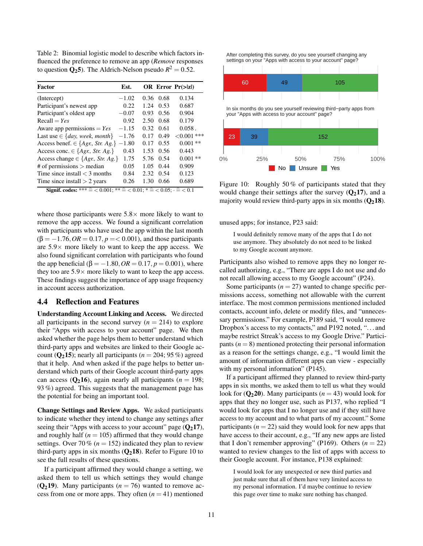<span id="page-10-0"></span>Table 2: Binomial logistic model to describe which factors influenced the preference to remove an app (*Remove* responses to question  $\mathbf{Q}_2$  $\mathbf{Q}_2$  $\mathbf{Q}_2$ **5**). The Aldrich-Nelson pseudo  $R^2 = 0.52$ .

| <b>Factor</b>                                                                                                 | Est.    |      |           | OR Error $Pr(\ge  z )$ |
|---------------------------------------------------------------------------------------------------------------|---------|------|-----------|------------------------|
| (Intercept)                                                                                                   | $-1.02$ |      | 0.36 0.68 | 0.134                  |
| Participant's newest app.                                                                                     | 0.22    | 1.24 | 0.53      | 0.687                  |
| Participant's oldest app                                                                                      | $-0.07$ | 0.93 | 0.56      | 0.904                  |
| $Recall = Yes$                                                                                                | 0.92    | 2.50 | 0.68      | 0.179                  |
| Aware app permissions $= Yes$                                                                                 | $-1.15$ | 0.32 | 0.61      | $0.058$ .              |
| Last use $\in \{day, week, month\}$                                                                           | $-1.76$ | 0.17 | 0.49      | ${<}0.001$ ***         |
| Access benef. $\in$ { <i>Agr.</i> , <i>Str. Ag.</i> }                                                         | $-1.80$ | 0.17 | 0.55      | $0.001**$              |
| Access conc. $\in \{Agr, Str, Ag.\}$                                                                          | 0.43    | 1.53 | 0.56      | 0.443                  |
| Access change $\in$ { <i>Agr.</i> , <i>Str. Ag.</i> }                                                         | 1.75    | 5.76 | 0.54      | $0.001**$              |
| $#$ of permissions $>$ median                                                                                 | 0.05    | 1.05 | 0.44      | 0.909                  |
| Time since install $<$ 3 months                                                                               | 0.84    | 2.32 | 0.54      | 0.123                  |
| Time since install $> 2$ years                                                                                | 0.26    | 1.30 | 0.66      | 0.689                  |
| <b>Signif.</b> codes: *** $\hat{=}$ < 0.001; ** $\hat{=}$ < 0.01; * $\hat{=}$ < 0.05; $\cdot$ $\hat{=}$ < 0.1 |         |      |           |                        |

where those participants were  $5.8\times$  more likely to want to remove the app access. We found a significant correlation with participants who have used the app within the last month  $(\beta = -1.76, OR = 0.17, p = 0.001)$ , and those participants are  $5.9\times$  more likely to want to keep the app access. We also found significant correlation with participants who found the app beneficial (β =  $-1.80$ , *OR* = 0.17, *p* = 0.001), where they too are  $5.9 \times$  more likely to want to keep the app access. These findings suggest the importance of app usage frequency in account access authorization.

### 4.4 Reflection and Features

Understanding Account Linking and Access. We directed all participants in the second survey  $(n = 214)$  to explore their "Apps with access to your account" page. We then asked whether the page helps them to better understand which third-party apps and websites are linked to their Google account ( $Q_2$ [15](#page-17-2)); nearly all participants ( $n = 204$ ; 95%) agreed that it help. And when asked if the page helps to better understand which parts of their Google account third-party apps can access ( $Q_2$ [16](#page-17-12)), again nearly all participants ( $n = 198$ ; 93 %) agreed. This suggests that the management page has the potential for being an important tool.

Change Settings and Review Apps. We asked participants to indicate whether they intend to change any settings after seeing their "Apps with access to your account" page  $(Q_217)$  $(Q_217)$  $(Q_217)$ , and roughly half ( $n = 105$ ) affirmed that they would change settings. Over 70 % ( $n = 152$ ) indicated they plan to review third-party apps in six months  $(Q_218)$  $(Q_218)$  $(Q_218)$ . Refer to [Figure 10](#page-10-1) to see the full results of these questions.

If a participant affirmed they would change a setting, we asked them to tell us which settings they would change  $(Q_219)$  $(Q_219)$  $(Q_219)$ . Many participants ( $n = 76$ ) wanted to remove access from one or more apps. They often  $(n = 41)$  mentioned

<span id="page-10-1"></span>After completing this survey, do you see yourself changing any settings on your "Apps with access to your account" page?



Figure 10: Roughly 50% of participants stated that they would change their settings after the survey  $(Q_217)$  $(Q_217)$  $(Q_217)$ , and a majority would review third-party apps in six months  $(Q_218)$  $(Q_218)$  $(Q_218)$ .

unused apps; for instance, P23 said:



Participants also wished to remove apps they no longer recalled authorizing, e.g., "There are apps I do not use and do not recall allowing access to my Google account" (P24).

Some participants  $(n = 27)$  wanted to change specific permissions access, something not allowable with the current interface. The most common permissions mentioned included contacts, account info, delete or modify files, and "unnecessary permissions." For example, P189 said, "I would remove Dropbox's access to my contacts," and P192 noted, ". . . and maybe restrict Streak's access to my Google Drive." Participants  $(n = 8)$  mentioned protecting their personal information as a reason for the settings change, e.g., "I would limit the amount of information different apps can view - especially with my personal information" (P145).

If a participant affirmed they planned to review third-party apps in six months, we asked them to tell us what they would look for  $(Q_220)$  $(Q_220)$  $(Q_220)$ . Many participants  $(n = 43)$  would look for apps that they no longer use, such as P137, who replied "I would look for apps that I no longer use and if they still have access to my account and to what parts of my account." Some participants  $(n = 22)$  said they would look for new apps that have access to their account, e.g., "If any new apps are listed that I don't remember approving" (P169). Others  $(n = 22)$ wanted to review changes to the list of apps with access to their Google account. For instance, P138 explained:

I would look for any unexpected or new third parties and just make sure that all of them have very limited access to my personal information. I'd maybe continue to review this page over time to make sure nothing has changed.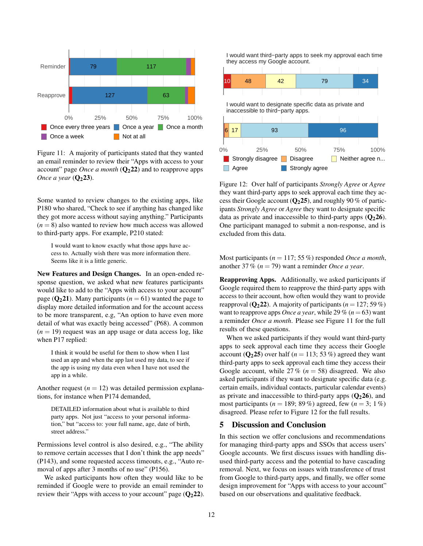<span id="page-11-1"></span>

Figure 11: A majority of participants stated that they wanted an email reminder to review their "Apps with access to your account" page *Once a month*  $(Q_2 22)$  $(Q_2 22)$  $(Q_2 22)$  and to reapprove apps *Once a year* ( $Q_2$ [23](#page-17-17)).

Some wanted to review changes to the existing apps, like P180 who shared, "Check to see if anything has changed like they got more access without saying anything." Participants  $(n = 8)$  also wanted to review how much access was allowed to third-party apps. For example, P210 stated:

I would want to know exactly what those apps have access to. Actually wish there was more information there. Seems like it is a little generic.

New Features and Design Changes. In an open-ended response question, we asked what new features participants would like to add to the "Apps with access to your account" page ( $Q_2$ [21](#page-17-4)). Many participants ( $n = 61$ ) wanted the page to display more detailed information and for the account access to be more transparent, e.g, "An option to have even more detail of what was exactly being accessed" (P68). A common  $(n = 19)$  request was an app usage or data access log, like when P17 replied:

I think it would be useful for them to show when I last used an app and when the app last used my data, to see if the app is using my data even when I have not used the app in a while.

Another request  $(n = 12)$  was detailed permission explanations, for instance when P174 demanded,

DETAILED information about what is available to third party apps. Not just "access to your personal information," but "access to: your full name, age, date of birth, street address."

Permissions level control is also desired, e.g., "The ability to remove certain accesses that I don't think the app needs" (P143), and some requested access timeouts, e.g., "Auto removal of apps after 3 months of no use" (P156).

We asked participants how often they would like to be reminded if Google were to provide an email reminder to review their "Apps with access to your account" page  $(Q_2 22)$  $(Q_2 22)$  $(Q_2 22)$ . <span id="page-11-2"></span>I would want third−party apps to seek my approval each time they access my Google account.



Figure 12: Over half of participants *Strongly Agree* or *Agree* they want third-party apps to seek approval each time they access their Google account  $(Q_2 25)$  $(Q_2 25)$  $(Q_2 25)$ , and roughly 90 % of participants *Strongly Agree* or *Agree* they want to designate specific data as private and inaccessible to third-party apps  $(O<sub>2</sub>26)$  $(O<sub>2</sub>26)$  $(O<sub>2</sub>26)$ . One participant managed to submit a non-response, and is excluded from this data.

Most participants (*n* = 117; 55 %) responded *Once a month*, another 37 % (*n* = 79) want a reminder *Once a year*.

Reapproving Apps. Additionally, we asked participants if Google required them to reapprove the third-party apps with access to their account, how often would they want to provide reapproval ( $Q_2$ [22](#page-17-16)). A majority of participants ( $n = 127$ ; 59 %) want to reapprove apps *Once a year*, while 29 % ( $n = 63$ ) want a reminder *Once a month*. Please see [Figure 11](#page-11-1) for the full results of these questions.

When we asked participants if they would want third-party apps to seek approval each time they access their Google account  $(Q_2 25)$  $(Q_2 25)$  $(Q_2 25)$  over half  $(n = 113; 53\%)$  agreed they want third-party apps to seek approval each time they access their Google account, while  $27\%$  ( $n = 58$ ) disagreed. We also asked participants if they want to designate specific data (e.g. certain emails, individual contacts, particular calendar events) as private and inaccessible to third-party apps  $(Q_2 26)$  $(Q_2 26)$  $(Q_2 26)$ , and most participants ( $n = 189$ ; 89 %) agreed, few ( $n = 3$ ; 1 %) disagreed. Please refer to [Figure 12](#page-11-2) for the full results.

### <span id="page-11-0"></span>5 Discussion and Conclusion

In this section we offer conclusions and recommendations for managing third-party apps and SSOs that access users' Google accounts. We first discuss issues with handling disused third-party access and the potential to have cascading removal. Next, we focus on issues with transference of trust from Google to third-party apps, and finally, we offer some design improvement for "Apps with access to your account" based on our observations and qualitative feedback.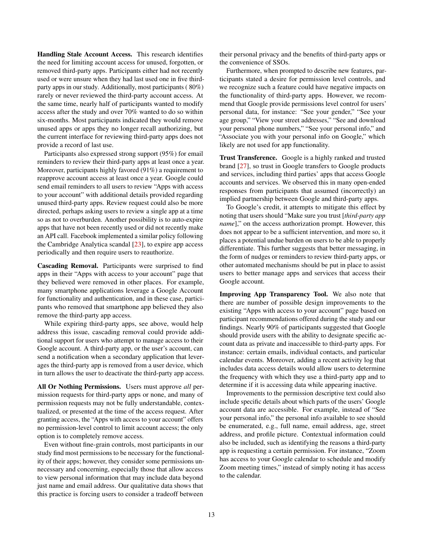Handling Stale Account Access. This research identifies the need for limiting account access for unused, forgotten, or removed third-party apps. Participants either had not recently used or were unsure when they had last used one in five thirdparty apps in our study. Additionally, most participants ( 80%) rarely or never reviewed the third-party account access. At the same time, nearly half of participants wanted to modify access after the study and over 70% wanted to do so within six-months. Most participants indicated they would remove unused apps or apps they no longer recall authorizing, but the current interface for reviewing third-party apps does not provide a record of last use.

Participants also expressed strong support (95%) for email reminders to review their third-party apps at least once a year. Moreover, participants highly favored (91%) a requirement to reapprove account access at least once a year. Google could send email reminders to all users to review "Apps with access to your account" with additional details provided regarding unused third-party apps. Review request could also be more directed, perhaps asking users to review a single app at a time so as not to overburden. Another possibility is to auto-expire apps that have not been recently used or did not recently make an API call. Facebook implemented a similar policy following the Cambridge Analytica scandal [\[23\]](#page-14-0), to expire app access periodically and then require users to reauthorize.

Cascading Removal. Participants were surprised to find apps in their "Apps with access to your account" page that they believed were removed in other places. For example, many smartphone applications leverage a Google Account for functionality and authentication, and in these case, participants who removed that smartphone app believed they also remove the third-party app access.

While expiring third-party apps, see above, would help address this issue, cascading removal could provide additional support for users who attempt to manage access to their Google account. A third-party app, or the user's account, can send a notification when a secondary application that leverages the third-party app is removed from a user device, which in turn allows the user to deactivate the third-party app access.

All Or Nothing Permissions. Users must approve *all* permission requests for third-party apps or none, and many of permission requests may not be fully understandable, contextualized, or presented at the time of the access request. After granting access, the "Apps with access to your account" offers no permission-level control to limit account access; the only option is to completely remove access.

Even without fine-grain controls, most participants in our study find most permissions to be necessary for the functionality of their apps; however, they consider some permissions unnecessary and concerning, especially those that allow access to view personal information that may include data beyond just name and email address. Our qualitative data shows that this practice is forcing users to consider a tradeoff between

their personal privacy and the benefits of third-party apps or the convenience of SSOs.

Furthermore, when prompted to describe new features, participants stated a desire for permission level controls, and we recognize such a feature could have negative impacts on the functionality of third-party apps. However, we recommend that Google provide permissions level control for users' personal data, for instance: "See your gender," "See your age group," "View your street addresses," "See and download your personal phone numbers," "See your personal info," and "Associate you with your personal info on Google," which likely are not used for app functionality.

Trust Transference. Google is a highly ranked and trusted brand [\[27\]](#page-14-20), so trust in Google transfers to Google products and services, including third parties' apps that access Google accounts and services. We observed this in many open-ended responses from participants that assumed (incorrectly) an implied partnership between Google and third-party apps.

To Google's credit, it attempts to mitigate this effect by noting that users should "Make sure you trust [*third-party app name*]," on the access authorization prompt. However, this does not appear to be a sufficient intervention, and more so, it places a potential undue burden on users to be able to properly differentiate. This further suggests that better messaging, in the form of nudges or reminders to review third-party apps, or other automated mechanisms should be put in place to assist users to better manage apps and services that access their Google account.

Improving App Transparency Tool. We also note that there are number of possible design improvements to the existing "Apps with access to your account" page based on participant recommendations offered during the study and our findings. Nearly 90% of participants suggested that Google should provide users with the ability to designate specific account data as private and inaccessible to third-party apps. For instance: certain emails, individual contacts, and particular calendar events. Moreover, adding a recent activity log that includes data access details would allow users to determine the frequency with which they use a third-party app and to determine if it is accessing data while appearing inactive.

Improvements to the permission descriptive text could also include specific details about which parts of the users' Google account data are accessible. For example, instead of "See your personal info," the personal info available to see should be enumerated, e.g., full name, email address, age, street address, and profile picture. Contextual information could also be included, such as identifying the reasons a third-party app is requesting a certain permission. For instance, "Zoom has access to your Google calendar to schedule and modify Zoom meeting times," instead of simply noting it has access to the calendar.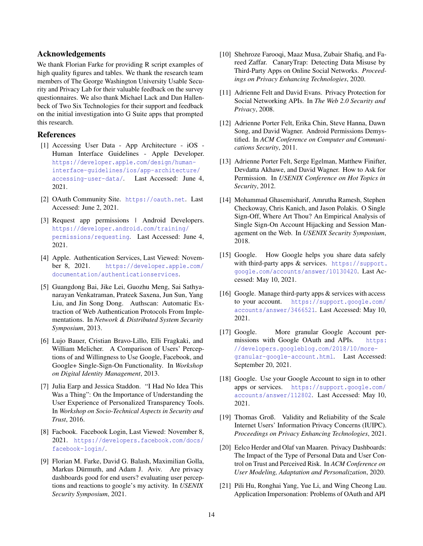### Acknowledgements

We thank Florian Farke for providing R script examples of high quality figures and tables. We thank the research team members of The George Washington University Usable Security and Privacy Lab for their valuable feedback on the survey questionnaires. We also thank Michael Lack and Dan Hallenbeck of Two Six Technologies for their support and feedback on the initial investigation into G Suite apps that prompted this research.

### References

- <span id="page-13-13"></span>[1] Accessing User Data - App Architecture - iOS - Human Interface Guidelines - Apple Developer. [https://developer.apple.com/design/human](https://developer.apple.com/design/human-interface-guidelines/ios/app-architecture/accessing-user-data/)[interface-guidelines/ios/app-architecture/](https://developer.apple.com/design/human-interface-guidelines/ios/app-architecture/accessing-user-data/) [accessing-user-data/](https://developer.apple.com/design/human-interface-guidelines/ios/app-architecture/accessing-user-data/). Last Accessed: June 4, 2021.
- <span id="page-13-4"></span>[2] OAuth Community Site. <https://oauth.net>. Last Accessed: June 2, 2021.
- <span id="page-13-14"></span>[3] Request app permissions | Android Developers. [https://developer.android.com/training/](https://developer.android.com/training/permissions/requesting) [permissions/requesting](https://developer.android.com/training/permissions/requesting). Last Accessed: June 4, 2021.
- <span id="page-13-1"></span>[4] Apple. Authentication Services, Last Viewed: November 8, 2021. [https://developer.apple.com/](https://developer.apple.com/documentation/authenticationservices) [documentation/authenticationservices](https://developer.apple.com/documentation/authenticationservices).
- <span id="page-13-5"></span>[5] Guangdong Bai, Jike Lei, Guozhu Meng, Sai Sathyanarayan Venkatraman, Prateek Saxena, Jun Sun, Yang Liu, and Jin Song Dong. Authscan: Automatic Extraction of Web Authentication Protocols From Implementations. In *Network & Distributed System Security Symposium*, 2013.
- <span id="page-13-6"></span>[6] Lujo Bauer, Cristian Bravo-Lillo, Elli Fragkaki, and William Melicher. A Comparison of Users' Perceptions of and Willingness to Use Google, Facebook, and Google+ Single-Sign-On Functionality. In *Workshop on Digital Identity Management*, 2013.
- <span id="page-13-15"></span>[7] Julia Earp and Jessica Staddon. "I Had No Idea This Was a Thing": On the Importance of Understanding the User Experience of Personalized Transparency Tools. In *Workshop on Socio-Technical Aspects in Security and Trust*, 2016.
- <span id="page-13-2"></span>[8] Facbook. Facebook Login, Last Viewed: November 8, 2021. [https://developers.facebook.com/docs/](https://developers.facebook.com/docs/facebook-login/) [facebook-login/](https://developers.facebook.com/docs/facebook-login/).
- <span id="page-13-16"></span>[9] Florian M. Farke, David G. Balash, Maximilian Golla, Markus Dürmuth, and Adam J. Aviv. Are privacy dashboards good for end users? evaluating user perceptions and reactions to google's my activity. In *USENIX Security Symposium*, 2021.
- <span id="page-13-10"></span>[10] Shehroze Farooqi, Maaz Musa, Zubair Shafiq, and Fareed Zaffar. CanaryTrap: Detecting Data Misuse by Third-Party Apps on Online Social Networks. *Proceedings on Privacy Enhancing Technologies*, 2020.
- <span id="page-13-9"></span>[11] Adrienne Felt and David Evans. Privacy Protection for Social Networking APIs. In *The Web 2.0 Security and Privacy*, 2008.
- <span id="page-13-11"></span>[12] Adrienne Porter Felt, Erika Chin, Steve Hanna, Dawn Song, and David Wagner. Android Permissions Demystified. In *ACM Conference on Computer and Communications Security*, 2011.
- <span id="page-13-12"></span>[13] Adrienne Porter Felt, Serge Egelman, Matthew Finifter, Devdatta Akhawe, and David Wagner. How to Ask for Permission. In *USENIX Conference on Hot Topics in Security*, 2012.
- <span id="page-13-7"></span>[14] Mohammad Ghasemisharif, Amrutha Ramesh, Stephen Checkoway, Chris Kanich, and Jason Polakis. O Single Sign-Off, Where Art Thou? An Empirical Analysis of Single Sign-On Account Hijacking and Session Management on the Web. In *USENIX Security Symposium*, 2018.
- <span id="page-13-20"></span>[15] Google. How Google helps you share data safely with third-party apps & services. [https://support.](https://support.google.com/accounts/answer/10130420) [google.com/accounts/answer/10130420](https://support.google.com/accounts/answer/10130420). Last Accessed: May 10, 2021.
- <span id="page-13-18"></span>[16] Google. Manage third-party apps & services with access to your account. [https://support.google.com/](https://support.google.com/accounts/answer/3466521) [accounts/answer/3466521](https://support.google.com/accounts/answer/3466521). Last Accessed: May 10, 2021.
- <span id="page-13-3"></span>[17] Google. More granular Google Account permissions with Google OAuth and APIs. [https:](https://developers.googleblog.com/2018/10/more-granular-google-account.html) [//developers.googleblog.com/2018/10/more](https://developers.googleblog.com/2018/10/more-granular-google-account.html)[granular-google-account.html](https://developers.googleblog.com/2018/10/more-granular-google-account.html). Last Accessed: September 20, 2021.
- <span id="page-13-0"></span>[18] Google. Use your Google Account to sign in to other apps or services. [https://support.google.com/](https://support.google.com/accounts/answer/112802) [accounts/answer/112802](https://support.google.com/accounts/answer/112802). Last Accessed: May 10, 2021.
- <span id="page-13-19"></span>[19] Thomas Groß. Validity and Reliability of the Scale Internet Users' Information Privacy Concerns (IUIPC). *Proceedings on Privacy Enhancing Technologies*, 2021.
- <span id="page-13-17"></span>[20] Eelco Herder and Olaf van Maaren. Privacy Dashboards: The Impact of the Type of Personal Data and User Control on Trust and Perceived Risk. In *ACM Conference on User Modeling, Adaptation and Personalization*, 2020.
- <span id="page-13-8"></span>[21] Pili Hu, Ronghai Yang, Yue Li, and Wing Cheong Lau. Application Impersonation: Problems of OAuth and API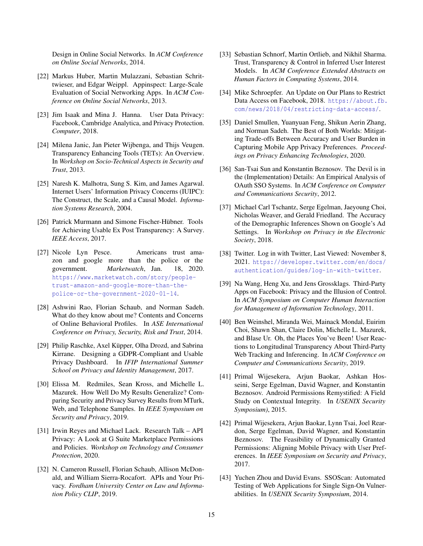Design in Online Social Networks. In *ACM Conference on Online Social Networks*, 2014.

- <span id="page-14-6"></span>[22] Markus Huber, Martin Mulazzani, Sebastian Schrittwieser, and Edgar Weippl. Appinspect: Large-Scale Evaluation of Social Networking Apps. In *ACM Conference on Online Social Networks*, 2013.
- <span id="page-14-0"></span>[23] Jim Isaak and Mina J. Hanna. User Data Privacy: Facebook, Cambridge Analytica, and Privacy Protection. *Computer*, 2018.
- <span id="page-14-12"></span>[24] Milena Janic, Jan Pieter Wijbenga, and Thijs Veugen. Transparency Enhancing Tools (TETs): An Overview. In *Workshop on Socio-Technical Aspects in Security and Trust*, 2013.
- <span id="page-14-21"></span>[25] Naresh K. Malhotra, Sung S. Kim, and James Agarwal. Internet Users' Information Privacy Concerns (IUIPC): The Construct, the Scale, and a Causal Model. *Information Systems Research*, 2004.
- <span id="page-14-13"></span>[26] Patrick Murmann and Simone Fischer-Hübner. Tools for Achieving Usable Ex Post Transparency: A Survey. *IEEE Access*, 2017.
- <span id="page-14-20"></span>[27] Nicole Lyn Pesce. Americans trust amazon and google more than the police or the government. *Marketwatch*, Jan. 18, 2020. [https://www.marketwatch.com/story/people](https://www.marketwatch.com/story/people-trust-amazon-and-google-more-than-the-police-or-the-government-2020-01-14)[trust-amazon-and-google-more-than-the](https://www.marketwatch.com/story/people-trust-amazon-and-google-more-than-the-police-or-the-government-2020-01-14)[police-or-the-government-2020-01-14](https://www.marketwatch.com/story/people-trust-amazon-and-google-more-than-the-police-or-the-government-2020-01-14).
- <span id="page-14-14"></span>[28] Ashwini Rao, Florian Schaub, and Norman Sadeh. What do they know about me? Contents and Concerns of Online Behavioral Profiles. In *ASE International Conference on Privacy, Security, Risk and Trust*, 2014.
- <span id="page-14-15"></span>[29] Philip Raschke, Axel Küpper, Olha Drozd, and Sabrina Kirrane. Designing a GDPR-Compliant and Usable Privacy Dashboard. In *IFIP International Summer School on Privacy and Identity Management*, 2017.
- <span id="page-14-19"></span>[30] Elissa M. Redmiles, Sean Kross, and Michelle L. Mazurek. How Well Do My Results Generalize? Comparing Security and Privacy Survey Results from MTurk, Web, and Telephone Samples. In *IEEE Symposium on Security and Privacy*, 2019.
- <span id="page-14-8"></span>[31] Irwin Reyes and Michael Lack. Research Talk – API Privacy: A Look at G Suite Marketplace Permissions and Policies. *Workshop on Technology and Consumer Protection*, 2020.
- <span id="page-14-3"></span>[32] N. Cameron Russell, Florian Schaub, Allison McDonald, and William Sierra-Rocafort. APIs and Your Privacy. *Fordham University Center on Law and Information Policy CLIP*, 2019.
- <span id="page-14-16"></span>[33] Sebastian Schnorf, Martin Ortlieb, and Nikhil Sharma. Trust, Transparency & Control in Inferred User Interest Models. In *ACM Conference Extended Abstracts on Human Factors in Computing Systems*, 2014.
- <span id="page-14-1"></span>[34] Mike Schroepfer. An Update on Our Plans to Restrict Data Access on Facebook, 2018. [https://about.fb.](https://about.fb.com/news/2018/04/restricting-data-access/) [com/news/2018/04/restricting-data-access/](https://about.fb.com/news/2018/04/restricting-data-access/).
- <span id="page-14-11"></span>[35] Daniel Smullen, Yuanyuan Feng, Shikun Aerin Zhang, and Norman Sadeh. The Best of Both Worlds: Mitigating Trade-offs Between Accuracy and User Burden in Capturing Mobile App Privacy Preferences. *Proceedings on Privacy Enhancing Technologies*, 2020.
- <span id="page-14-4"></span>[36] San-Tsai Sun and Konstantin Beznosov. The Devil is in the (Implementation) Details: An Empirical Analysis of OAuth SSO Systems. In *ACM Conference on Computer and Communications Security*, 2012.
- <span id="page-14-17"></span>[37] Michael Carl Tschantz, Serge Egelman, Jaeyoung Choi, Nicholas Weaver, and Gerald Friedland. The Accuracy of the Demographic Inferences Shown on Google's Ad Settings. In *Workshop on Privacy in the Electronic Society*, 2018.
- <span id="page-14-2"></span>[38] Twitter. Log in with Twitter, Last Viewed: November 8, 2021. [https://developer.twitter.com/en/docs/](https://developer.twitter.com/en/docs/authentication/guides/log-in-with-twitter) [authentication/guides/log-in-with-twitter](https://developer.twitter.com/en/docs/authentication/guides/log-in-with-twitter).
- <span id="page-14-7"></span>[39] Na Wang, Heng Xu, and Jens Grossklags. Third-Party Apps on Facebook: Privacy and the Illusion of Control. In *ACM Symposium on Computer Human Interaction for Management of Information Technology*, 2011.
- <span id="page-14-18"></span>[40] Ben Weinshel, Miranda Wei, Mainack Mondal, Euirim Choi, Shawn Shan, Claire Dolin, Michelle L. Mazurek, and Blase Ur. Oh, the Places You've Been! User Reactions to Longitudinal Transparency About Third-Party Web Tracking and Inferencing. In *ACM Conference on Computer and Communications Security*, 2019.
- <span id="page-14-9"></span>[41] Primal Wijesekera, Arjun Baokar, Ashkan Hosseini, Serge Egelman, David Wagner, and Konstantin Beznosov. Android Permissions Remystified: A Field Study on Contextual Integrity. In *USENIX Security Symposium)*, 2015.
- <span id="page-14-10"></span>[42] Primal Wijesekera, Arjun Baokar, Lynn Tsai, Joel Reardon, Serge Egelman, David Wagner, and Konstantin Beznosov. The Feasibility of Dynamically Granted Permissions: Aligning Mobile Privacy with User Preferences. In *IEEE Symposium on Security and Privacy*, 2017.
- <span id="page-14-5"></span>[43] Yuchen Zhou and David Evans. SSOScan: Automated Testing of Web Applications for Single Sign-On Vulnerabilities. In *USENIX Security Symposium*, 2014.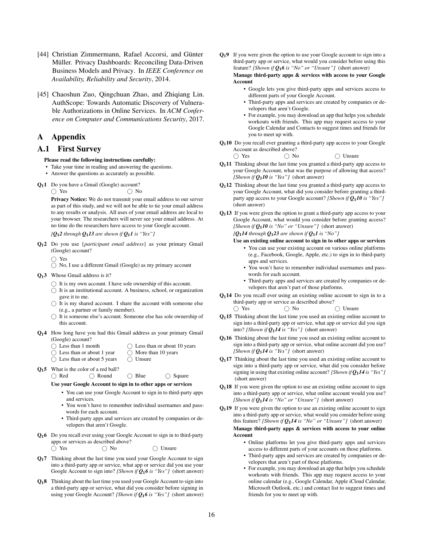- <span id="page-15-1"></span>[44] Christian Zimmermann, Rafael Accorsi, and Günter Müller. Privacy Dashboards: Reconciling Data-Driven Business Models and Privacy. In *IEEE Conference on Availability, Reliability and Security*, 2014.
- <span id="page-15-0"></span>[45] Chaoshun Zuo, Qingchuan Zhao, and Zhiqiang Lin. AuthScope: Towards Automatic Discovery of Vulnerable Authorizations in Online Services. In *ACM Conference on Computer and Communications Security*, 2017.

### A Appendix

### <span id="page-15-2"></span>A.1 First Survey

### Please read the following instructions carefully:

- Take your time in reading and answering the questions.
- Answer the questions as accurately as possible.
- <span id="page-15-3"></span>Q11 Do you have a Gmail (Google) account?  $\bigcap$  Yes  $\bigcap$  No

Privacy Notice: We do not transmit your email address to our server as part of this study, and we will not be able to tie your email address to any results or analysis. All uses of your email address are local to your browser. The researchers will never see your email address. At no time do the researchers have access to your Google account.

*[[Q](#page-15-13)*1*2 through Q*1*[13](#page-15-8) are shown if [Q](#page-15-3)*1*1 is "Yes"]*

<span id="page-15-13"></span>Q12 Do you use {*participant email address*} as your primary Gmail (Google) account?

 $\bigcap$  Yes

- No, I use a different Gmail (Google) as my primary account
- Q13 Whose Gmail address is it?
	- $\bigcirc$  It is my own account. I have sole ownership of this account.
	- $\bigcirc$  It is an institutional account. A business, school, or organization gave it to me.
	- $\bigcirc$  It is my shared account. I share the account with someone else (e.g., a partner or family member).
	- $\bigcap$  It is someone else's account. Someone else has sole ownership of this account.
- <span id="page-15-4"></span>Q14 How long have you had this Gmail address as your primary Gmail (Google) account?
	- ◯ Less than 1 month
	- Less than or about 1 year
	- $\bigcap$  Less than or about 5 years  $\bigcap$  Unsure
- Q15 What is the color of a red ball?

○ Red ○ Round ○ Blue ○ Square

◯ Less than or about 10 years  $\bigcirc$  More than 10 years

- Use your Google Account to sign in to other apps or services • You can use your Google Account to sign in to third-party apps and services.
	- You won't have to remember individual usernames and passwords for each account.
	- Third-party apps and services are created by companies or developers that aren't Google.
- <span id="page-15-5"></span>Q16 Do you recall ever using your Google Account to sign in to third-party apps or services as described above?
	- $\bigcap$  Yes  $\bigcap$  No  $\bigcap$  Unsure
- <span id="page-15-9"></span>Q17 Thinking about the last time you used your Google Account to sign into a third-party app or service, what app or service did you use your Google Account to sign into? *[Shown if [Q](#page-15-5)*1*6 is "Yes"]* (short answer)
- <span id="page-15-11"></span>Q18 Thinking about the last time you used your Google Account to sign into a third-party app or service, what did you consider before signing in using your Google Account? *[Shown if [Q](#page-15-5)*1*6 is "Yes"]* (short answer)

<span id="page-15-6"></span>Q19 If you were given the option to use your Google account to sign into a third-party app or service, what would you consider before using this feature? *[Shown if [Q](#page-15-5)*1*6 is "No" or "Unsure"]* (short answer)

Manage third-party apps & services with access to your Google Account

- Google lets you give third-party apps and services access to different parts of your Google Account.
- Third-party apps and services are created by companies or developers that aren't Google.
- For example, you may download an app that helps you schedule workouts with friends. This app may request access to your Google Calendar and Contacts to suggest times and friends for you to meet up with.
- <span id="page-15-7"></span>Q110 Do you recall ever granting a third-party app access to your Google Account as described above?

○ Yes ○ No ○ Unsure

- <span id="page-15-12"></span>Q111 Thinking about the last time you granted a third-party app access to your Google Account, what was the purpose of allowing that access? *[Shown if*  $Q_1$ *[10](#page-15-7) is "Yes"]* (short answer)
- <span id="page-15-10"></span>Q112 Thinking about the last time you granted a third-party app access to your Google Account, what did you consider before granting a thirdparty app access to your Google account? *[Shown if Q*1*[10](#page-15-7) is "Yes"]* (short answer)
- <span id="page-15-8"></span> $Q<sub>1</sub>13$  If you were given the option to grant a third-party app access to your Google Account, what would you consider before granting access? *[Shown if Q*1*[10](#page-15-7) is "No" or "Unsure"]* (short answer)

*[Q*1*[14](#page-15-14) through Q*1*[23](#page-16-8) are shown if [Q](#page-15-3)*1*1 is "No"]*

- Use an existing online account to sign in to other apps or services
	- You can use your existing account on various online platforms (e.g., Facebook, Google, Apple, etc.) to sign in to third-party apps and services.
	- You won't have to remember individual usernames and passwords for each account.
	- Third-party apps and services are created by companies or developers that aren't part of those platforms.
- <span id="page-15-14"></span>Q114 Do you recall ever using an existing online account to sign in to a third-party app or service as described above?
	- Yes No Unsure
- Q115 Thinking about the last time you used an existing online account to sign into a third-party app or service, what app or service did you sign into? *[Shown if*  $Q_1$ *[14](#page-15-14) is "Yes"]* (short answer)
- Q116 Thinking about the last time you used an existing online account to sign into a third-party app or service, what online account did you use? *[Shown if*  $Q_1$ *[14](#page-15-14) is "Yes"]* (short answer)
- Q117 Thinking about the last time you used an existing online account to sign into a third-party app or service, what did you consider before signing in using that existing online account? *[Shown if Q*1*[14](#page-15-14) is "Yes"]* (short answer)
- $Q<sub>1</sub>18$  If you were given the option to use an existing online account to sign into a third-party app or service, what online account would you use? *[Shown if Q*1*[14](#page-15-14) is "No" or "Unsure"]* (short answer)
- $Q<sub>1</sub>19$  If you were given the option to use an existing online account to sign into a third-party app or service, what would you consider before using this feature? *[Shown if Q*1*[14](#page-15-14) is "No" or "Unsure"]* (short answer) Manage third-party apps & services with access to your online Account
	- Online platforms let you give third-party apps and services access to different parts of your accounts on those platforms.
	- Third-party apps and services are created by companies or developers that aren't part of those platforms.
	- For example, you may download an app that helps you schedule workouts with friends. This app may request access to your online calendar (e.g., Google Calendar, Apple iCloud Calendar, Microsoft Outlook, etc.) and contact list to suggest times and friends for you to meet up with.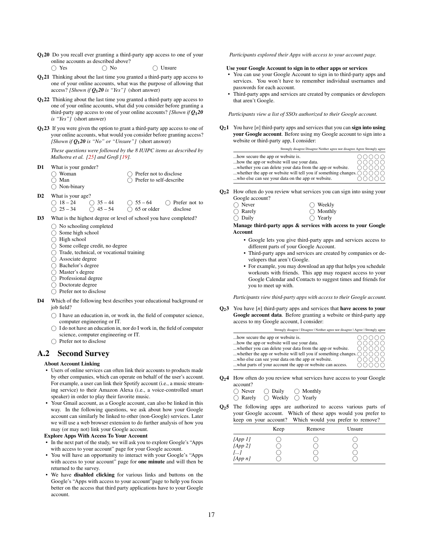<span id="page-16-9"></span>Q120 Do you recall ever granting a third-party app access to one of your online accounts as described above?

 $\bigcap$  Yes  $\bigcap$  No  $\bigcap$  Unsure

- Q121 Thinking about the last time you granted a third-party app access to one of your online accounts, what was the purpose of allowing that access? *[Shown if Q*1*[20](#page-16-9) is "Yes"]* (short answer)
- Q122 Thinking about the last time you granted a third-party app access to one of your online accounts, what did you consider before granting a third-party app access to one of your online accounts? *[Shown if Q*1*[20](#page-16-9) is "Yes"]* (short answer)
- <span id="page-16-8"></span>Q123 If you were given the option to grant a third-party app access to one of your online accounts, what would you consider before granting access? *[Shown if Q*1*[20](#page-16-9) is "No" or "Unsure"]* (short answer)

*These questions were followed by the 8 IUIPC items as described by Malhotra et al. [\[25\]](#page-14-21) and Groß [\[19\]](#page-13-19).*

- <span id="page-16-0"></span>D1 What is your gender?
	- $\bigcap$  Woman  $\bigcap$  Man ◯ Non-binary  $\bigcap$  Prefer not to disclose Prefer to self-describe
- D2 What is your age?

 $\bigcap$  18 – 24  $\bigcirc$  25 – 34  $\bigcirc$  35 – 44

 $\bigcirc$  45 – 54  $\bigcirc$  55 – 64  $\bigcirc$  65 or older ○ Prefer not to disclose

- D3 What is the highest degree or level of school you have completed?
	- $\bigcap$  No schooling completed
	- $\bigcirc$  Some high school
	- $\bigcap$  High school
	- $\bigcap$  Some college credit, no degree
	- Trade, technical, or vocational training
	- Associate degree
	- Bachelor's degree
	- $\bigcap$  Master's degree
	- $\bigcap$  Professional degree
	- Doctorate degree
	- $\bigcap$  Prefer not to disclose
- <span id="page-16-1"></span>D4 Which of the following best describes your educational background or iob field?
	- $\bigcirc$  I have an education in, or work in, the field of computer science, computer engineering or IT.
	- $\bigcirc$  I do not have an education in, nor do I work in, the field of computer science, computer engineering or IT.
	- $\bigcirc$  Prefer not to disclose

### <span id="page-16-2"></span>A.2 Second Survey

### About Account Linking

- Users of online services can often link their accounts to products made by other companies, which can operate on behalf of the user's account. For example, a user can link their Spotify account (i.e., a music streaming service) to their Amazon Alexa (i.e., a voice-controlled smart speaker) in order to play their favorite music.
- Your Gmail account, as a Google account, can also be linked in this way. In the following questions, we ask about how your Google account can similarly be linked to other (non-Google) services. Later we will use a web browser extension to do further analysis of how you may (or may not) link your Google account.

Explore Apps With Access To Your Account

- In the next part of the study, we will ask you to explore Google's "Apps with access to your account" page for your Google account.
- You will have an opportunity to interact with your Google's "Apps with access to your account" page for one minute and will then be returned to the survey.
- We have disabled clicking for various links and buttons on the Google's "Apps with access to your account"page to help you focus better on the access that third party applications have to your Google account.

*Participants explored their Apps with access to your account page.*

### Use your Google Account to sign in to other apps or services

- You can use your Google Account to sign in to third-party apps and services. You won't have to remember individual usernames and passwords for each account.
- Third-party apps and services are created by companies or developers that aren't Google.

*Participants view a list of SSOs authorized to their Google account.*

<span id="page-16-3"></span> $Q_21$  You have [*n*] third-party apps and services that you can **sign into using** your Google account. Before using my Google account to sign into a website or third-party app, I consider:

| Strongly disagree Disagree Neither agree nor disagree Agree Strongly agree                       |       |
|--------------------------------------------------------------------------------------------------|-------|
| how secure the app or website is.                                                                | NOOOO |
| how the app or website will use your data.                                                       | NNNNN |
| whether you can delete your data from the app or website.                                        | NNNNN |
| whether the app or website will tell you if something changes. $\bigcap \bigcap \bigcap \bigcap$ |       |
| who else can see your data on the app or website.                                                | NUUUU |

- <span id="page-16-7"></span> $Q<sub>2</sub>$  How often do you review what services you can sign into using your Google account?
	- $\bigcirc$  Never  $\bigcap$  Rarely  $\bigcap$  Weekly  $\bigcap$  Monthly
	- $\bigcirc$  Daily  $\bigcirc$  Yearly

### Manage third-party apps & services with access to your Google Account

- Google lets you give third-party apps and services access to different parts of your Google Account.
- Third-party apps and services are created by companies or developers that aren't Google.
- For example, you may download an app that helps you schedule workouts with friends. This app may request access to your Google Calendar and Contacts to suggest times and friends for you to meet up with.

*Participants view third-party apps with access to their Google account.*

<span id="page-16-6"></span>Q23 You have [*n*] third-party apps and services that have access to your Google account data. Before granting a website or third-party app access to my Google account, I consider:

| Strongly disagree   Disagree   Neither agree nor disagree   Agree   Strongly agree               |       |
|--------------------------------------------------------------------------------------------------|-------|
| how secure the app or website is.                                                                | റററററ |
| how the app or website will use your data.                                                       | ററററ  |
| whether you can delete your data from the app or website.                                        | റററററ |
| whether the app or website will tell you if something changes. $\bigcap \bigcap \bigcap \bigcap$ |       |
| who else can see your data on the app or website.                                                |       |
| what parts of your account the app or website can access.                                        |       |

<span id="page-16-4"></span>Q<sub>2</sub>4 How often do you review what services have access to your Google account?

 Never Rarely Daily Monthly

$$
Rarely \t\t \bigcirc \text{ Weekly} \t\t \bigcirc \text{Yearly}
$$

<span id="page-16-5"></span>Q25 The following apps are authorized to access various parts of your Google account. Which of these apps would you prefer to keep on your account? Which would you prefer to remove?

|         | Keep | Remove | Unsure |  |
|---------|------|--------|--------|--|
| [App 1] |      |        |        |  |
| [App 2] |      |        |        |  |
| []      |      |        |        |  |
| [App n] |      |        |        |  |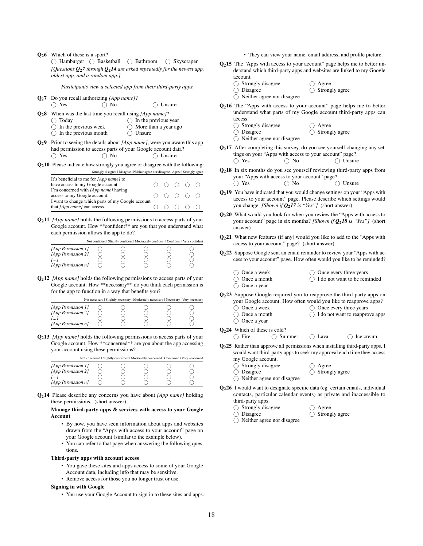Q26 Which of these is a sport?

 Hamburger Basketball Bathroom Skyscraper *[Questions [Q](#page-17-0)*2*7 through Q*2*[14](#page-17-1) are asked repeatedly for the newest app, oldest app, and a random app.]*

*Participants view a selected app from their third-party apps.*

- <span id="page-17-0"></span>Q27 Do you recall authorizing *[App name]*?
	- Yes No Unsure
- <span id="page-17-6"></span>Q28 When was the last time you recall using *[App name]*?
	- Today  $\bigcap$  In the previous year
	- In the previous week  $\bigcirc$  More than a year ago
	- $\bigcirc$  In the previous month  $\overline{O}$  Unsure
- <span id="page-17-7"></span>Q29 Prior to seeing the details about *[App name]*, were you aware this app had permission to access parts of your Google account data?  $\bigcap$  Yes  $\bigcap$  No  $\bigcap$  Unsure
- <span id="page-17-8"></span>Q210 Please indicate how strongly you agree or disagree with the following: Strongly disagree | Disagree | Neither agree nor disagree | Agree | Strongly agree

| It's beneficial to me for [App name] to           |       |  |  |
|---------------------------------------------------|-------|--|--|
| have access to my Google account.                 | 00000 |  |  |
| I'm concerned with [App name] having              |       |  |  |
| access to my Google account.                      | 00000 |  |  |
| I want to change which parts of my Google account |       |  |  |
| that [App name] can access.                       | 00000 |  |  |

<span id="page-17-9"></span>Q211 *[App name]* holds the following permissions to access parts of your Google account. How \*\*confident\*\* are you that you understand what each permission allows the app to do?

Not confident | Slightly confident | Moderately confident | Confident | Very confident

| [App Permission 1] |  |  |  |
|--------------------|--|--|--|
| [App Permission 2] |  |  |  |
|                    |  |  |  |
| [App Permission n] |  |  |  |

<span id="page-17-10"></span>Q212 *[App name]* holds the following permissions to access parts of your Google account. How \*\*necessary\*\* do you think each permission is for the app to function in a way that benefits you?

|                    |  | Not necessary   Slightly necessary   Moderately necessary   Necessary   Very necessary |  |
|--------------------|--|----------------------------------------------------------------------------------------|--|
| [App Permission 1] |  |                                                                                        |  |
| [App Permission 2] |  |                                                                                        |  |
| I                  |  |                                                                                        |  |
| [App Permission n] |  |                                                                                        |  |

<span id="page-17-11"></span>Q213 *[App name]* holds the following permissions to access parts of your Google account. How \*\*concerned\*\* are you about the app accessing your account using these permissions?

|                                          | Not concerned   Slightly concerned   Moderately concerned   Concerned   Very concerned |  |  |
|------------------------------------------|----------------------------------------------------------------------------------------|--|--|
| [App Permission 1]<br>[App Permission 2] |                                                                                        |  |  |
| $\overline{I}$                           |                                                                                        |  |  |
| $[App$ Permission $n$ ]                  |                                                                                        |  |  |

<span id="page-17-1"></span>Q214 Please describe any concerns you have about *[App name]* holding these permissions. (short answer)

### Manage third-party apps & services with access to your Google **A**ccount

- By now, you have seen information about apps and websites drawn from the "Apps with access to your account" page on your Google account (similar to the example below).
- You can refer to that page when answering the following questions.

#### Third-party apps with account access

- You gave these sites and apps access to some of your Google Account data, including info that may be sensitive.
- Remove access for those you no longer trust or use.

#### Signing in with Google

• You use your Google Account to sign in to these sites and apps.

- They can view your name, email address, and profile picture.
- <span id="page-17-2"></span> $Q<sub>2</sub>$ 15 The "Apps with access to your account" page helps me to better understand which third-party apps and websites are linked to my Google account.
	- $\bigcirc$  Strongly disagree

 $\bigcap$  Disagree

O Disagree

- Agree Strongly agree
- Neither agree nor disagree
- <span id="page-17-12"></span>Q216 The "Apps with access to your account" page helps me to better understand what parts of my Google account third-party apps can access.
	- $\bigcirc$  Strongly disagree ○ Agree
		- ◯ Strongly agree
	- $\bigcap$  Neither agree nor disagree
- <span id="page-17-13"></span> $Q<sub>2</sub>17$  After completing this survey, do you see yourself changing any settings on your "Apps with access to your account" page?  $\bigcap$  Yes  $\bigcap$  No  $\bigcap$  Unsure
- <span id="page-17-14"></span>Q218 In six months do you see yourself reviewing third-party apps from your "Apps with access to your account" page? ( Yes 
( No 
( Unsure
- <span id="page-17-15"></span>Q<sub>2</sub>19 You have indicated that you would change settings on your "Apps with access to your account" page. Please describe which settings would you change. *[Shown if Q*2*[17](#page-17-13) is "Yes"]* (short answer)
- <span id="page-17-3"></span>Q220 What would you look for when you review the "Apps with access to your account" page in six months? *[Shown if Q*2*[18](#page-17-14) is "Yes"]* (short answer)
- <span id="page-17-4"></span>Q221 What new features (if any) would you like to add to the "Apps with access to your account" page? (short answer)
- <span id="page-17-16"></span>Q222 Suppose Google sent an email reminder to review your "Apps with access to your account" page. How often would you like to be reminded?
	- O Once a week
- $\bigcirc$  Once every three years
	- O Once a month ◯ Once a year
- $\bigcap$  I do not want to be reminded
- 
- <span id="page-17-17"></span>Q223 Suppose Google required you to reapprove the third-party apps on
	- your Google account. How often would you like to reapprove apps?  $\bigcap$  Once every three years
	- $\bigcap$  Once a week Once a month
		- $\bigcirc$  I do not want to reapprove apps
	- O Once a year
- $Q_2$ 24 Which of these is cold?<br>  $\bigcirc$  Fire  $\bigcirc$  Sur  $\bigcap$  Summer  $\bigcap$  Lava  $\bigcap$  Ice cream
- <span id="page-17-18"></span>Q225 Rather than approve all permissions when installing third-party apps, I would want third-party apps to seek my approval each time they access my Google account.
	- $\bigcirc$  Strongly disagree
	- O Disagree
	- Neither agree nor disagree
- <span id="page-17-5"></span>Q226 I would want to designate specific data (eg. certain emails, individual contacts, particular calendar events) as private and inaccessible to third-party apps.
	- $\bigcirc$  Strongly disagree
	- $\bigcirc$  Disagree
- $\bigcirc$  Agree  $\bigcirc$  Strongly agree

 $\bigcap$  Agree  $\bigcirc$  Strongly agree

Neither agree nor disagree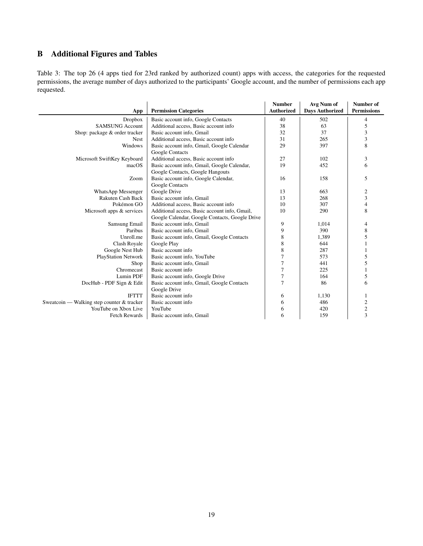### <span id="page-18-0"></span>B Additional Figures and Tables

<span id="page-18-1"></span>Table 3: The top 26 (4 apps tied for 23rd ranked by authorized count) apps with access, the categories for the requested permissions, the average number of days authorized to the participants' Google account, and the number of permissions each app requested.

|                                            |                                                | <b>Number</b>     | Avg Num of             | Number of          |
|--------------------------------------------|------------------------------------------------|-------------------|------------------------|--------------------|
| App                                        | <b>Permission Categories</b>                   | <b>Authorized</b> | <b>Days Authorized</b> | <b>Permissions</b> |
| Dropbox                                    | Basic account info, Google Contacts            | 40                | 502                    | $\overline{4}$     |
| <b>SAMSUNG Account</b>                     | Additional access, Basic account info          | 38                | 63                     | 5                  |
| Shop: package & order tracker              | Basic account info, Gmail                      | 32                | 37                     | 3                  |
| <b>Nest</b>                                | Additional access, Basic account info          | 31                | 265                    | 3                  |
| Windows                                    | Basic account info, Gmail, Google Calendar     | 29                | 397                    | 8                  |
|                                            | Google Contacts                                |                   |                        |                    |
| Microsoft SwiftKey Keyboard                | Additional access, Basic account info          | 27                | 102                    | 3                  |
| macOS                                      | Basic account info, Gmail, Google Calendar,    | 19                | 452                    | 6                  |
|                                            | Google Contacts, Google Hangouts               |                   |                        |                    |
| Zoom                                       | Basic account info, Google Calendar,           | 16                | 158                    | 5                  |
|                                            | Google Contacts                                |                   |                        |                    |
| <b>WhatsApp Messenger</b>                  | Google Drive                                   | 13                | 663                    | 2                  |
| Rakuten Cash Back                          | Basic account info, Gmail                      | 13                | 268                    | 3                  |
| Pokémon GO                                 | Additional access, Basic account info          | 10                | 307                    | 4                  |
| Microsoft apps & services                  | Additional access, Basic account info, Gmail,  | 10                | 290                    | 8                  |
|                                            | Google Calendar, Google Contacts, Google Drive |                   |                        |                    |
| Samsung Email                              | Basic account info, Gmail                      | 9                 | 1,014                  | 4                  |
| Paribus                                    | Basic account info, Gmail                      | 9                 | 390                    | 8                  |
| Unroll.me                                  | Basic account info, Gmail, Google Contacts     | 8                 | 1,389                  | 5                  |
| Clash Royale                               | Google Play                                    | 8                 | 644                    |                    |
| Google Nest Hub                            | Basic account info                             | 8                 | 287                    |                    |
| <b>PlayStation Network</b>                 | Basic account info, YouTube                    | $\overline{7}$    | 573                    | 5                  |
| Shop                                       | Basic account info, Gmail                      | $\overline{7}$    | 441                    | 5                  |
| Chromecast                                 | Basic account info                             | $\overline{7}$    | 225                    |                    |
| Lumin PDF                                  | Basic account info, Google Drive               | 7                 | 164                    | 5                  |
| DocHub - PDF Sign & Edit                   | Basic account info, Gmail, Google Contacts     | $\overline{7}$    | 86                     | 6                  |
|                                            | Google Drive                                   |                   |                        |                    |
| <b>IFTTT</b>                               | Basic account info                             | 6                 | 1,130                  |                    |
| Sweatcoin — Walking step counter & tracker | Basic account info                             | 6                 | 486                    | 2                  |
| YouTube on Xbox Live                       | YouTube                                        | 6                 | 420                    | $\sqrt{2}$         |
| <b>Fetch Rewards</b>                       | Basic account info, Gmail                      | 6                 | 159                    | 3                  |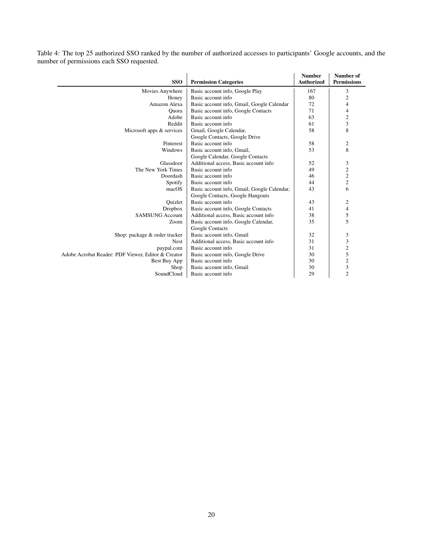Table 4: The top 25 authorized SSO ranked by the number of authorized accesses to participants' Google accounts, and the number of permissions each SSO requested.

| <b>SSO</b>                                         | <b>Permission Categories</b>                | <b>Number</b><br><b>Authorized</b> | Number of<br><b>Permissions</b> |
|----------------------------------------------------|---------------------------------------------|------------------------------------|---------------------------------|
| Movies Anywhere                                    | Basic account info, Google Play             | 167                                | 3                               |
| Honey                                              | Basic account info                          | 80                                 | $\overline{c}$                  |
| Amazon Alexa                                       | Basic account info, Gmail, Google Calendar  | 72                                 | 4                               |
| Quora                                              | Basic account info, Google Contacts         | 71                                 | 4                               |
| Adobe                                              | Basic account info                          | 63                                 | $\overline{c}$                  |
| Reddit                                             | Basic account info                          | 61                                 | 3                               |
| Microsoft apps & services                          | Gmail, Google Calendar,                     | 58                                 | 8                               |
|                                                    | Google Contacts, Google Drive               |                                    |                                 |
| Pinterest                                          | Basic account info                          | 58                                 | 2                               |
| Windows                                            | Basic account info, Gmail,                  | 53                                 | 8                               |
|                                                    | Google Calendar, Google Contacts            |                                    |                                 |
| Glassdoor                                          | Additional access, Basic account info       | 52                                 | 3                               |
| The New York Times                                 | Basic account info                          | 49                                 | $\overline{c}$                  |
| Doordash                                           | Basic account info                          | 46                                 | $\overline{\mathbf{c}}$         |
| Spotify                                            | Basic account info                          | 44                                 | $\mathfrak{2}$                  |
| macOS                                              | Basic account info, Gmail, Google Calendar, | 43                                 | 6                               |
|                                                    | Google Contacts, Google Hangouts            |                                    |                                 |
| Ouizlet                                            | Basic account info                          | 43                                 | 2                               |
| <b>Dropbox</b>                                     | Basic account info, Google Contacts         | 41                                 | 4                               |
| <b>SAMSUNG Account</b>                             | Additional access, Basic account info       | 38                                 | 5                               |
| Zoom                                               | Basic account info, Google Calendar,        | 35                                 | 5                               |
|                                                    | Google Contacts                             |                                    |                                 |
| Shop: package & order tracker                      | Basic account info, Gmail                   | 32                                 | 3                               |
| <b>Nest</b>                                        | Additional access, Basic account info       | 31                                 | 3                               |
| paypal.com                                         | Basic account info                          | 31                                 | $\overline{\mathbf{c}}$         |
| Adobe Acrobat Reader: PDF Viewer, Editor & Creator | Basic account info, Google Drive            | 30                                 | 5                               |
| Best Buy App                                       | Basic account info                          | 30                                 | $\mathfrak{2}$                  |
| Shop                                               | Basic account info, Gmail                   | 30                                 | 3                               |
| SoundCloud                                         | Basic account info                          | 29                                 | $\overline{2}$                  |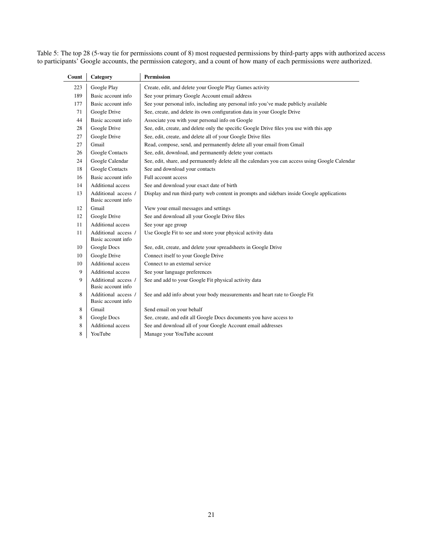<span id="page-20-0"></span>Table 5: The top 28 (5-way tie for permissions count of 8) most requested permissions by third-party apps with authorized access to participants' Google accounts, the permission category, and a count of how many of each permissions were authorized.

| Count | Category                                  | <b>Permission</b>                                                                               |
|-------|-------------------------------------------|-------------------------------------------------------------------------------------------------|
| 223   | Google Play                               | Create, edit, and delete your Google Play Games activity                                        |
| 189   | Basic account info                        | See your primary Google Account email address                                                   |
| 177   | Basic account info                        | See your personal info, including any personal info you've made publicly available              |
| 71    | Google Drive                              | See, create, and delete its own configuration data in your Google Drive                         |
| 44    | Basic account info                        | Associate you with your personal info on Google                                                 |
| 28    | Google Drive                              | See, edit, create, and delete only the specific Google Drive files you use with this app        |
| 27    | Google Drive                              | See, edit, create, and delete all of your Google Drive files                                    |
| 27    | Gmail                                     | Read, compose, send, and permanently delete all your email from Gmail                           |
| 26    | Google Contacts                           | See, edit, download, and permanently delete your contacts                                       |
| 24    | Google Calendar                           | See, edit, share, and permanently delete all the calendars you can access using Google Calendar |
| 18    | <b>Google Contacts</b>                    | See and download your contacts                                                                  |
| 16    | Basic account info                        | Full account access                                                                             |
| 14    | Additional access                         | See and download your exact date of birth                                                       |
| 13    | Additional access /<br>Basic account info | Display and run third-party web content in prompts and sidebars inside Google applications      |
| 12    | Gmail                                     | View your email messages and settings                                                           |
| 12    | Google Drive                              | See and download all your Google Drive files                                                    |
| 11    | <b>Additional access</b>                  | See your age group                                                                              |
| 11    | Additional access /<br>Basic account info | Use Google Fit to see and store your physical activity data                                     |
| 10    | Google Docs                               | See, edit, create, and delete your spreadsheets in Google Drive                                 |
| 10    | Google Drive                              | Connect itself to your Google Drive                                                             |
| 10    | <b>Additional access</b>                  | Connect to an external service                                                                  |
| 9     | Additional access                         | See your language preferences                                                                   |
| 9     | Additional access /<br>Basic account info | See and add to your Google Fit physical activity data                                           |
| 8     | Additional access /<br>Basic account info | See and add info about your body measurements and heart rate to Google Fit                      |
| 8     | Gmail                                     | Send email on your behalf                                                                       |
| 8     | Google Docs                               | See, create, and edit all Google Docs documents you have access to                              |
| 8     | Additional access                         | See and download all of your Google Account email addresses                                     |
| 8     | YouTube                                   | Manage your YouTube account                                                                     |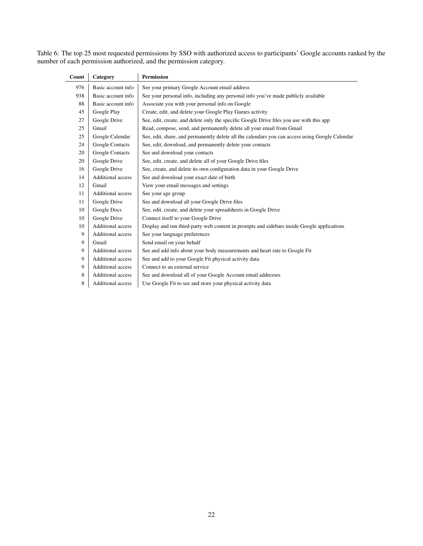Table 6: The top 25 most requested permissions by SSO with authorized access to participants' Google accounts ranked by the number of each permission authorized, and the permission category.

| Category                 | <b>Permission</b>                                                                               |
|--------------------------|-------------------------------------------------------------------------------------------------|
| Basic account info       | See your primary Google Account email address                                                   |
| Basic account info       | See your personal info, including any personal info you've made publicly available              |
| Basic account info       | Associate you with your personal info on Google                                                 |
| Google Play              | Create, edit, and delete your Google Play Games activity                                        |
| Google Drive             | See, edit, create, and delete only the specific Google Drive files you use with this app        |
| Gmail                    | Read, compose, send, and permanently delete all your email from Gmail                           |
| Google Calendar          | See, edit, share, and permanently delete all the calendars you can access using Google Calendar |
| Google Contacts          | See, edit, download, and permanently delete your contacts                                       |
| Google Contacts          | See and download your contacts                                                                  |
| Google Drive             | See, edit, create, and delete all of your Google Drive files                                    |
| Google Drive             | See, create, and delete its own configuration data in your Google Drive                         |
| Additional access        | See and download your exact date of birth                                                       |
| Gmail                    | View your email messages and settings                                                           |
| Additional access        | See your age group                                                                              |
| Google Drive             | See and download all your Google Drive files                                                    |
| Google Docs              | See, edit, create, and delete your spreadsheets in Google Drive                                 |
| Google Drive             | Connect itself to your Google Drive                                                             |
| <b>Additional access</b> | Display and run third-party web content in prompts and sidebars inside Google applications      |
| Additional access        | See your language preferences                                                                   |
| Gmail                    | Send email on your behalf                                                                       |
| Additional access        | See and add info about your body measurements and heart rate to Google Fit                      |
| <b>Additional access</b> | See and add to your Google Fit physical activity data                                           |
| <b>Additional access</b> | Connect to an external service                                                                  |
| <b>Additional access</b> | See and download all of your Google Account email addresses                                     |
| <b>Additional access</b> | Use Google Fit to see and store your physical activity data                                     |
|                          |                                                                                                 |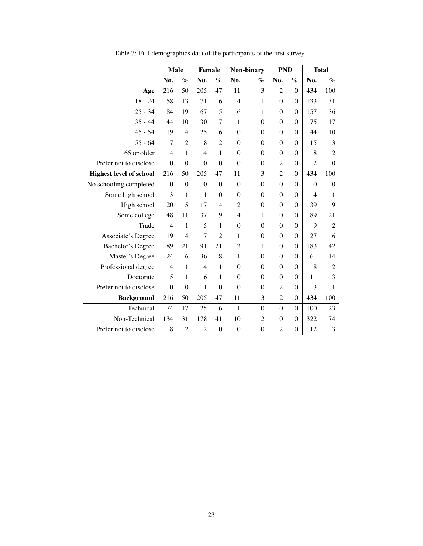|                                | <b>Male</b>      |                  | Female           |                  | Non-binary       |                  | <b>PND</b>       |                  | <b>Total</b>     |                  |
|--------------------------------|------------------|------------------|------------------|------------------|------------------|------------------|------------------|------------------|------------------|------------------|
|                                | No.              | $\%$             | No.              | $\%$             | No.              | $\%$             | No.              | $\%$             | No.              | $\%$             |
| Age                            | 216              | 50               | 205              | 47               | 11               | 3                | $\overline{2}$   | $\boldsymbol{0}$ | 434              | 100              |
| $18 - 24$                      | 58               | 13               | 71               | 16               | $\overline{4}$   | $\mathbf{1}$     | $\overline{0}$   | $\boldsymbol{0}$ | 133              | 31               |
| $25 - 34$                      | 84               | 19               | 67               | 15               | 6                | 1                | $\boldsymbol{0}$ | $\boldsymbol{0}$ | 157              | 36               |
| $35 - 44$                      | 44               | 10               | 30               | 7                | 1                | $\theta$         | $\theta$         | $\theta$         | 75               | 17               |
| $45 - 54$                      | 19               | $\overline{4}$   | 25               | 6                | $\Omega$         | $\theta$         | $\boldsymbol{0}$ | $\mathbf{0}$     | 44               | 10               |
| $55 - 64$                      | 7                | $\overline{2}$   | 8                | $\overline{2}$   | $\Omega$         | $\boldsymbol{0}$ | $\mathbf{0}$     | $\theta$         | 15               | 3                |
| 65 or older                    | $\overline{4}$   | $\mathbf{1}$     | $\overline{4}$   | $\mathbf{1}$     | $\theta$         | $\boldsymbol{0}$ | $\mathbf{0}$     | $\boldsymbol{0}$ | 8                | $\overline{2}$   |
| Prefer not to disclose         | $\mathbf{0}$     | $\boldsymbol{0}$ | $\boldsymbol{0}$ | $\boldsymbol{0}$ | $\boldsymbol{0}$ | $\boldsymbol{0}$ | $\overline{2}$   | $\boldsymbol{0}$ | $\overline{2}$   | $\mathbf{0}$     |
| <b>Highest level of school</b> | 216              | 50               | 205              | 47               | 11               | 3                | $\overline{2}$   | $\boldsymbol{0}$ | 434              | 100              |
| No schooling completed         | $\boldsymbol{0}$ | $\boldsymbol{0}$ | $\boldsymbol{0}$ | $\boldsymbol{0}$ | $\boldsymbol{0}$ | $\boldsymbol{0}$ | $\boldsymbol{0}$ | $\boldsymbol{0}$ | $\boldsymbol{0}$ | $\boldsymbol{0}$ |
| Some high school               | 3                | $\,1$            | 1                | $\boldsymbol{0}$ | $\mathbf{0}$     | $\boldsymbol{0}$ | $\boldsymbol{0}$ | $\boldsymbol{0}$ | $\overline{4}$   | 1                |
| High school                    | 20               | 5                | 17               | 4                | 2                | $\theta$         | $\overline{0}$   | $\theta$         | 39               | 9                |
| Some college                   | 48               | 11               | 37               | 9                | $\overline{4}$   | 1                | $\mathbf{0}$     | $\theta$         | 89               | 21               |
| Trade                          | $\overline{4}$   | $\mathbf{1}$     | 5                | $\mathbf{1}$     | $\boldsymbol{0}$ | $\boldsymbol{0}$ | $\overline{0}$   | $\boldsymbol{0}$ | 9                | $\overline{2}$   |
| <b>Associate's Degree</b>      | 19               | $\overline{4}$   | $\tau$           | $\overline{2}$   | $\mathbf{1}$     | $\boldsymbol{0}$ | $\mathbf{0}$     | $\boldsymbol{0}$ | 27               | 6                |
| <b>Bachelor's Degree</b>       | 89               | 21               | 91               | 21               | 3                | 1                | $\boldsymbol{0}$ | $\boldsymbol{0}$ | 183              | 42               |
| Master's Degree                | 24               | 6                | 36               | 8                | 1                | $\boldsymbol{0}$ | $\overline{0}$   | $\boldsymbol{0}$ | 61               | 14               |
| Professional degree            | 4                | $\mathbf{1}$     | 4                | $\mathbf{1}$     | $\mathbf{0}$     | $\theta$         | $\boldsymbol{0}$ | $\boldsymbol{0}$ | 8                | 2                |
| Doctorate                      | 5                | 1                | 6                | 1                | $\theta$         | $\theta$         | $\mathbf{0}$     | $\boldsymbol{0}$ | 11               | 3                |
| Prefer not to disclose         | $\overline{0}$   | $\overline{0}$   | 1                | $\overline{0}$   | $\boldsymbol{0}$ | $\boldsymbol{0}$ | $\overline{c}$   | $\boldsymbol{0}$ | 3                | 1                |
| <b>Background</b>              | 216              | 50               | 205              | 47               | 11               | 3                | $\overline{2}$   | $\boldsymbol{0}$ | 434              | 100              |
| Technical                      | 74               | 17               | 25               | 6                | $\mathbf{1}$     | $\overline{0}$   | $\overline{0}$   | $\boldsymbol{0}$ | 100              | 23               |
| Non-Technical                  | 134              | 31               | 178              | 41               | 10               | $\overline{2}$   | $\boldsymbol{0}$ | $\boldsymbol{0}$ | 322              | 74               |
| Prefer not to disclose         | 8                | $\overline{2}$   | $\overline{2}$   | $\boldsymbol{0}$ | $\boldsymbol{0}$ | $\boldsymbol{0}$ | $\overline{2}$   | $\boldsymbol{0}$ | 12               | 3                |

Table 7: Full demographics data of the participants of the first survey.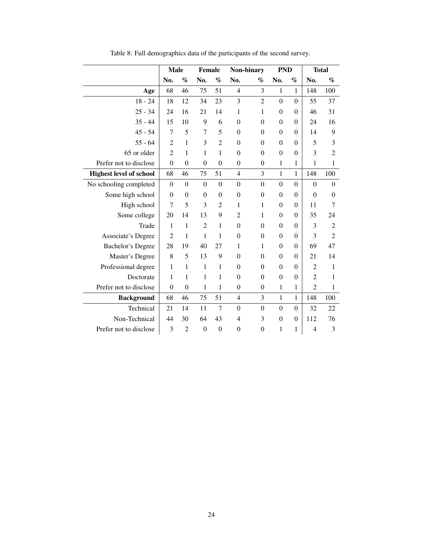|                                | <b>Male</b>      |                  | Female           |                  | Non-binary       |                  | <b>PND</b>       |                  | <b>Total</b>     |                  |
|--------------------------------|------------------|------------------|------------------|------------------|------------------|------------------|------------------|------------------|------------------|------------------|
|                                | No.              | $\%$             | No.              | $\%$             | No.              | $\%$             | No.              | $\%$             | No.              | $\%$             |
| Age                            | 68               | 46               | 75               | 51               | $\overline{4}$   | 3                | $\mathbf{1}$     | $\mathbf{1}$     | 148              | 100              |
| $18 - 24$                      | 18               | 12               | 34               | 23               | 3                | $\overline{2}$   | $\overline{0}$   | $\boldsymbol{0}$ | 55               | 37               |
| $25 - 34$                      | 24               | 16               | 21               | 14               | $\mathbf{1}$     | $\mathbf{1}$     | $\mathbf{0}$     | $\boldsymbol{0}$ | 46               | 31               |
| $35 - 44$                      | 15               | 10               | 9                | 6                | $\mathbf{0}$     | $\boldsymbol{0}$ | $\boldsymbol{0}$ | $\boldsymbol{0}$ | 24               | 16               |
| $45 - 54$                      | 7                | 5                | 7                | 5                | $\theta$         | $\theta$         | $\mathbf{0}$     | $\theta$         | 14               | 9                |
| $55 - 64$                      | $\overline{c}$   | $\mathbf{1}$     | 3                | $\overline{2}$   | $\boldsymbol{0}$ | $\mathbf{0}$     | $\mathbf{0}$     | $\boldsymbol{0}$ | 5                | 3                |
| 65 or older                    | $\overline{2}$   | $\mathbf{1}$     | 1                | 1                | $\theta$         | $\mathbf{0}$     | $\mathbf{0}$     | $\theta$         | 3                | $\overline{2}$   |
| Prefer not to disclose         | $\boldsymbol{0}$ | $\boldsymbol{0}$ | $\boldsymbol{0}$ | $\overline{0}$   | $\boldsymbol{0}$ | $\boldsymbol{0}$ | $\mathbf{1}$     | 1                | 1                | 1                |
| <b>Highest level of school</b> | 68               | 46               | 75               | 51               | $\overline{4}$   | 3                | $\mathbf{1}$     | 1                | 148              | 100              |
| No schooling completed         | $\boldsymbol{0}$ | $\boldsymbol{0}$ | $\boldsymbol{0}$ | $\boldsymbol{0}$ | $\overline{0}$   | $\mathbf{0}$     | $\overline{0}$   | $\boldsymbol{0}$ | $\boldsymbol{0}$ | $\boldsymbol{0}$ |
| Some high school               | $\mathbf{0}$     | $\mathbf{0}$     | $\mathbf{0}$     | $\boldsymbol{0}$ | $\boldsymbol{0}$ | $\mathbf{0}$     | $\mathbf{0}$     | $\boldsymbol{0}$ | $\boldsymbol{0}$ | $\Omega$         |
| High school                    | 7                | 5                | 3                | $\overline{2}$   | $\mathbf{1}$     | $\mathbf{1}$     | $\theta$         | $\boldsymbol{0}$ | 11               | 7                |
| Some college                   | 20               | 14               | 13               | 9                | $\overline{2}$   | 1                | $\mathbf{0}$     | $\boldsymbol{0}$ | 35               | 24               |
| Trade                          | $\mathbf{1}$     | $\mathbf{1}$     | $\overline{2}$   | $\mathbf{1}$     | $\boldsymbol{0}$ | $\theta$         | $\mathbf{0}$     | $\theta$         | 3                | $\overline{2}$   |
| Associate's Degree             | $\overline{2}$   | 1                | 1                | $\mathbf{1}$     | $\overline{0}$   | $\boldsymbol{0}$ | $\overline{0}$   | $\theta$         | 3                | $\overline{2}$   |
| Bachelor's Degree              | 28               | 19               | 40               | 27               | 1                | 1                | $\mathbf{0}$     | $\theta$         | 69               | 47               |
| Master's Degree                | 8                | 5                | 13               | 9                | $\theta$         | $\theta$         | $\overline{0}$   | $\theta$         | 21               | 14               |
| Professional degree            | $\mathbf{1}$     | $\mathbf{1}$     | $\mathbf{1}$     | 1                | $\boldsymbol{0}$ | $\mathbf{0}$     | $\mathbf{0}$     | $\boldsymbol{0}$ | $\overline{2}$   | 1                |
| Doctorate                      | 1                | $\mathbf{1}$     | 1                | 1                | $\theta$         | $\mathbf{0}$     | $\theta$         | $\boldsymbol{0}$ | $\overline{2}$   | 1                |
| Prefer not to disclose         | $\mathbf{0}$     | $\mathbf{0}$     | 1                | $\mathbf{1}$     | $\boldsymbol{0}$ | $\boldsymbol{0}$ | $\mathbf{1}$     | 1                | $\overline{2}$   | 1                |
| <b>Background</b>              | 68               | 46               | 75               | 51               | $\overline{4}$   | 3                | $\mathbf{1}$     | $\mathbf{1}$     | 148              | 100              |
| Technical                      | 21               | 14               | 11               | 7                | $\boldsymbol{0}$ | $\boldsymbol{0}$ | $\overline{0}$   | $\boldsymbol{0}$ | 32               | 22               |
| Non-Technical                  | 44               | 30               | 64               | 43               | $\overline{4}$   | 3                | $\boldsymbol{0}$ | $\boldsymbol{0}$ | 112              | 76               |
| Prefer not to disclose         | 3                | $\overline{2}$   | $\boldsymbol{0}$ | $\boldsymbol{0}$ | $\boldsymbol{0}$ | $\boldsymbol{0}$ | $\mathbf{1}$     | 1                | $\overline{4}$   | 3                |

Table 8: Full demographics data of the participants of the second survey.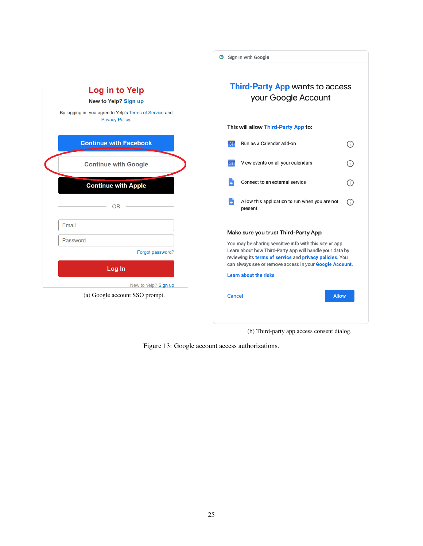|                                                                                                                      |        | G Sign in with Google                                                                                                                                                                                                                                                                                       |              |
|----------------------------------------------------------------------------------------------------------------------|--------|-------------------------------------------------------------------------------------------------------------------------------------------------------------------------------------------------------------------------------------------------------------------------------------------------------------|--------------|
| Log in to Yelp<br>New to Yelp? Sign up<br>By logging in, you agree to Yelp's Terms of Service and<br>Privacy Policy. |        | Third-Party App wants to access<br>your Google Account<br>This will allow Third-Party App to:                                                                                                                                                                                                               |              |
| <b>Continue with Facebook</b>                                                                                        |        | Run as a Calendar add-on                                                                                                                                                                                                                                                                                    | ⊙            |
| <b>Continue with Google</b>                                                                                          |        | View events on all your calendars                                                                                                                                                                                                                                                                           | ⊙            |
| <b>Continue with Apple</b>                                                                                           |        | Connect to an external service                                                                                                                                                                                                                                                                              | ⊙            |
| <b>OR</b>                                                                                                            |        | Allow this application to run when you are not<br>present                                                                                                                                                                                                                                                   | (i)          |
| Email<br>Password<br>Forgot password?<br>Log In<br>New to Yelp? Sign up                                              |        | Make sure you trust Third-Party App<br>You may be sharing sensitive info with this site or app.<br>Learn about how Third-Party App will handle your data by<br>reviewing its terms of service and privacy policies. You<br>can always see or remove access in your Google Account.<br>Learn about the risks |              |
| (a) Google account SSO prompt.                                                                                       | Cancel |                                                                                                                                                                                                                                                                                                             | <b>Allow</b> |
|                                                                                                                      |        |                                                                                                                                                                                                                                                                                                             |              |

(b) Third-party app access consent dialog.

Figure 13: Google account access authorizations.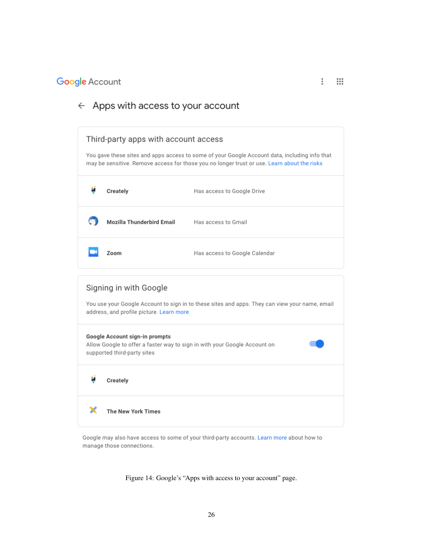### $\leftarrow$  Apps with access to your account



Google may also have access to some of your third-party accounts. Learn more about how to manage those connections.

Figure 14: Google's "Apps with access to your account" page.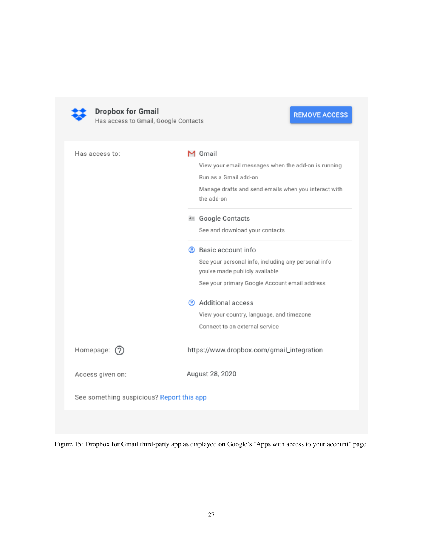

**Dropbox for Gmail**<br>Has access to Gmail, Google Contacts

# **REMOVE ACCESS**

| Has access to:                            | M Gmail                                                                               |
|-------------------------------------------|---------------------------------------------------------------------------------------|
|                                           | View your email messages when the add-on is running                                   |
|                                           | Run as a Gmail add-on                                                                 |
|                                           | Manage drafts and send emails when you interact with<br>the add-on                    |
|                                           | <b>KII</b> Google Contacts                                                            |
|                                           | See and download your contacts                                                        |
|                                           | 2 Basic account info                                                                  |
|                                           | See your personal info, including any personal info<br>you've made publicly available |
|                                           | See your primary Google Account email address                                         |
|                                           | Additional access                                                                     |
|                                           | View your country, language, and timezone                                             |
|                                           | Connect to an external service                                                        |
| Homepage:<br>(2)                          | https://www.dropbox.com/gmail_integration                                             |
| Access given on:                          | August 28, 2020                                                                       |
| See something suspicious? Report this app |                                                                                       |
|                                           |                                                                                       |

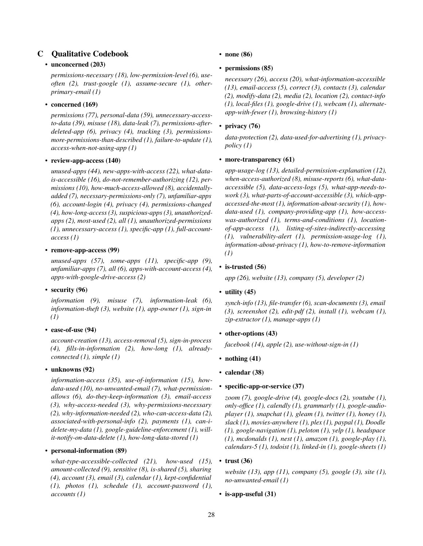### C Qualitative Codebook

### • unconcerned (203)

*permissions-necessary (18), low-permission-level (6), useoften (2), trust-google (1), assume-secure (1), otherprimary-email (1)*

### • concerned (169)

*permissions (77), personal-data (59), unnecessary-accessto-data (39), misuse (18), data-leak (7), permissions-afterdeleted-app (6), privacy (4), tracking (3), permissionsmore-permissions-than-described (1), failure-to-update (1), access-when-not-using-app (1)*

### • review-app-access (140)

*unused-apps (44), new-apps-with-access (22), what-datais-accessible (16), do-not-remember-authorizing (12), permissions (10), how-much-access-allowed (8), accidentallyadded (7), necessary-permissions-only (7), unfamiliar-apps (6), account-login (4), privacy (4), permissions-changed (4), how-long-access (3), suspicious-apps (3), unauthorizedapps (2), most-used (2), all (1), unauthorized-permissions (1), unnecessary-access (1), specific-app (1), full-accountaccess (1)*

### • remove-app-access (99)

*unused-apps (57), some-apps (11), specific-app (9), unfamiliar-apps (7), all (6), apps-with-account-access (4), apps-with-google-drive-access (2)*

### • security (96)

*information (9), misuse (7), information-leak (6), information-theft (3), website (1), app-owner (1), sign-in (1)*

### • ease-of-use (94)

*account-creation (13), access-removal (5), sign-in-process (4), fills-in-information (2), how-long (1), alreadyconnected (1), simple (1)*

### • unknowns (92)

*information-access (35), use-of-information (15), howdata-used (10), no-unwanted-email (7), what-permissionallows (6), do-they-keep-information (3), email-access (3), why-access-needed (3), why-permissions-necessary (2), why-information-needed (2), who-can-access-data (2), associated-with-personal-info (2), payments (1), can-idelete-my-data (1), google-guideline-enforcement (1), willit-notify-on-data-delete (1), how-long-data-stored (1)*

### • personal-information (89)

*what-type-accessible-collected (21), how-used (15), amount-collected (9), sensitive (8), is-shared (5), sharing (4), account (3), email (3), calendar (1), kept-confidential (1), photos (1), schedule (1), account-password (1), accounts (1)*

• none (86)

### • permissions (85)

*necessary (26), access (20), what-information-accessible (13), email-access (5), correct (3), contacts (3), calendar (2), modify-data (2), media (2), location (2), contact-info (1), local-files (1), google-drive (1), webcam (1), alternateapp-with-fewer (1), browsing-history (1)*

### privacy (76)

*data-protection (2), data-used-for-advertising (1), privacypolicy (1)*

### • more-transparency (61)

*app-usage-log (13), detailed-permission-explanation (12), when-access-authorized (8), misuse-reports (6), what-dataaccessible (5), data-access-logs (5), what-app-needs-towork (3), what-parts-of-account-accessible (3), which-appaccessed-the-most (1), information-about-security (1), howdata-used (1), company-providing-app (1), how-accesswas-authorized (1), terms-and-conditions (1), locationof-app-access (1), listing-of-sites-indirectly-accessing (1), vulnerability-alert (1), permission-usage-log (1), information-about-privacy (1), how-to-remove-information (1)*

### • is-trusted  $(56)$

*app (26), website (13), company (5), developer (2)*

### • utility (45)

*synch-info (13), file-transfer (6), scan-documents (3), email (3), screenshot (2), edit-pdf (2), install (1), webcam (1), zip-extractor (1), manage-apps (1)*

### • other-options (43)

*facebook (14), apple (2), use-without-sign-in (1)*

- nothing (41)
- calendar (38)

### • specific-app-or-service (37)

*zoom (7), google-drive (4), google-docs (2), youtube (1), only-office (1), calendly (1), grammarly (1), google-audioplayer (1), snapchat (1), gleam (1), twitter (1), honey (1), slack (1), movies-anywhere (1), plex (1), paypal (1), Doodle (1), google-navigation (1), peloton (1), yelp (1), headspace (1), mcdonalds (1), nest (1), amazon (1), google-play (1), calendars-5 (1), todoist (1), linked-in (1), google-sheets (1)*

### • trust  $(36)$

*website (13), app (11), company (5), google (3), site (1), no-unwanted-email (1)*

• is-app-useful (31)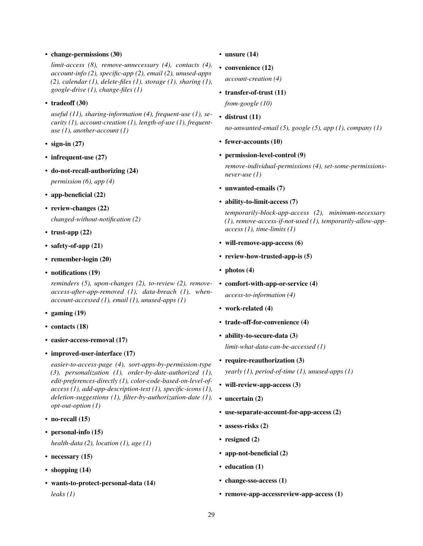• change-permissions (30)

*limit-access (8), remove-unnecessary (4), contacts (4), account-info (2), specific-app (2), email (2), unused-apps (2), calendar (1), delete-files (1), storage (1), sharing (1), google-drive (1), change-files (1)*

### • tradeoff (30)

*useful (11), sharing-information (4), frequent-use (1), security (1), account-creation (1), length-of-use (1), frequentuse (1), another-account (1)*

- sign-in  $(27)$
- infrequent-use  $(27)$
- do-not-recall-authorizing (24)

*permission (6), app (4)*

- app-beneficial (22)
- review-changes (22)

*changed-without-notification (2)*

- trust-app  $(22)$
- safety-of-app (21)
- remember-login (20)
- notifications (19)

*reminders (5), upon-changes (2), to-review (2), removeaccess-after-app-removed (1), data-breach (1), whenaccount-accessed (1), email (1), unused-apps (1)*

- gaming (19)
- contacts (18)
- easier-access-removal (17)
- improved-user-interface (17)

*easier-to-access-page (4), sort-apps-by-permission-type (3), personalization (1), order-by-date-authorized (1), edit-preferences-directly (1), color-code-based-on-level-ofaccess (1), add-app-description-text (1), specific-icons (1), deletion-suggestions (1), filter-by-authorization-date (1), opt-out-option (1)*

- no-recall (15)
- personal-info (15)

*health-data (2), location (1), age (1)*

- necessary (15)
- shopping  $(14)$
- wants-to-protect-personal-data (14) *leaks (1)*
- unsure (14)
- convenience (12)

*account-creation (4)*

• transfer-of-trust (11)

*from-google (10)*

• distrust (11)

*no-unwanted-email (5), google (5), app (1), company (1)*

- fewer-accounts (10)
- permission-level-control (9)

*remove-individual-permissions (4), set-some-permissionsnever-use (1)*

- unwanted-emails (7)
- ability-to-limit-access (7)

*temporarily-block-app-access (2), minimum-necessary (1), remove-access-if-not-used (1), temporarily-allow-appaccess (1), time-limits (1)*

- will-remove-app-access (6)
- review-how-trusted-app-is (5)
- photos  $(4)$
- comfort-with-app-or-service (4) *access-to-information (4)*
- work-related (4)
- trade-off-for-convenience (4)
- ability-to-secure-data (3)

*limit-what-data-can-be-accessed (1)*

- require-reauthorization (3) *yearly (1), period-of-time (1), unused-apps (1)*
- will-review-app-access (3)
- uncertain (2)
- use-separate-account-for-app-access (2)
- assess-risks (2)
- resigned (2)
- app-not-beneficial (2)
- education (1)
- change-sso-access (1)
- remove-app-accessreview-app-access (1)